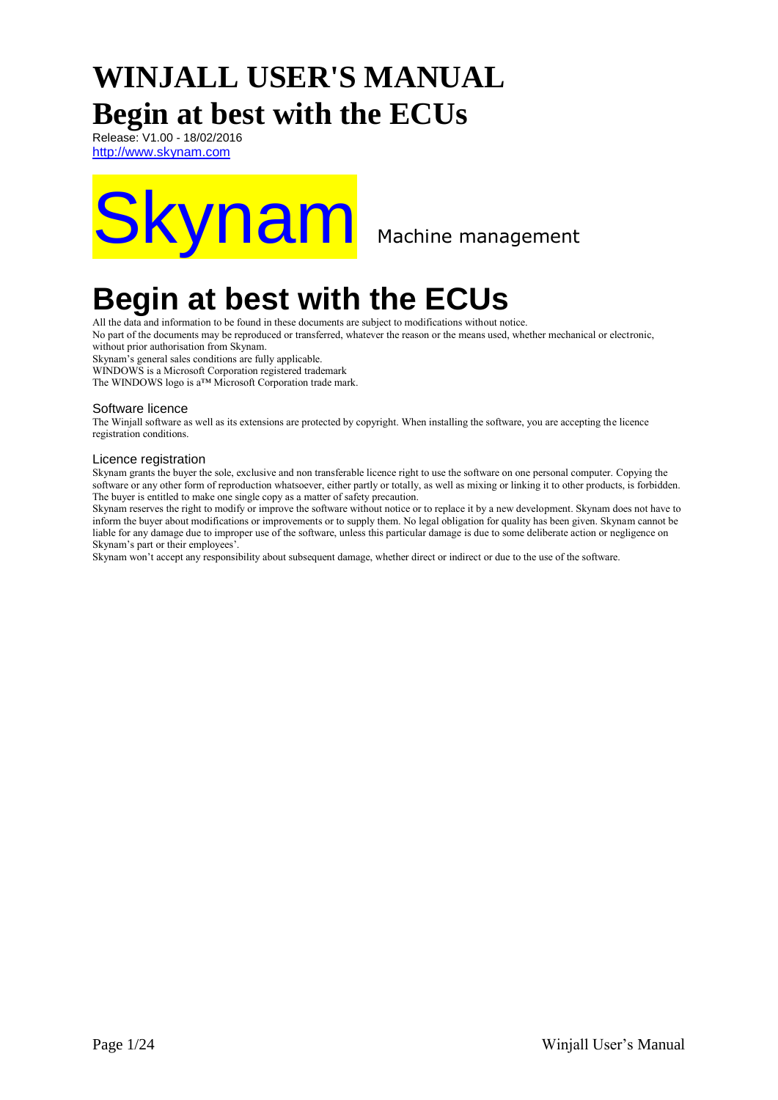# **WINJALL USER'S MANUAL Begin at best with the ECUs**

Release: V1.00 - 18/02/2016 [http://www.skynam.com](http://www.skynam.com/)



# **Begin at best with the ECUs**

All the data and information to be found in these documents are subject to modifications without notice.

No part of the documents may be reproduced or transferred, whatever the reason or the means used, whether mechanical or electronic,

without prior authorisation from Skynam.

Skynam's general sales conditions are fully applicable.

WINDOWS is a Microsoft Corporation registered trademark

The WINDOWS logo is a™ Microsoft Corporation trade mark.

#### Software licence

The Winjall software as well as its extensions are protected by copyright. When installing the software, you are accepting the licence registration conditions.

#### Licence registration

Skynam grants the buyer the sole, exclusive and non transferable licence right to use the software on one personal computer. Copying the software or any other form of reproduction whatsoever, either partly or totally, as well as mixing or linking it to other products, is forbidden. The buyer is entitled to make one single copy as a matter of safety precaution.

Skynam reserves the right to modify or improve the software without notice or to replace it by a new development. Skynam does not have to inform the buyer about modifications or improvements or to supply them. No legal obligation for quality has been given. Skynam cannot be liable for any damage due to improper use of the software, unless this particular damage is due to some deliberate action or negligence on Skynam's part or their employees'

Skynam won't accept any responsibility about subsequent damage, whether direct or indirect or due to the use of the software.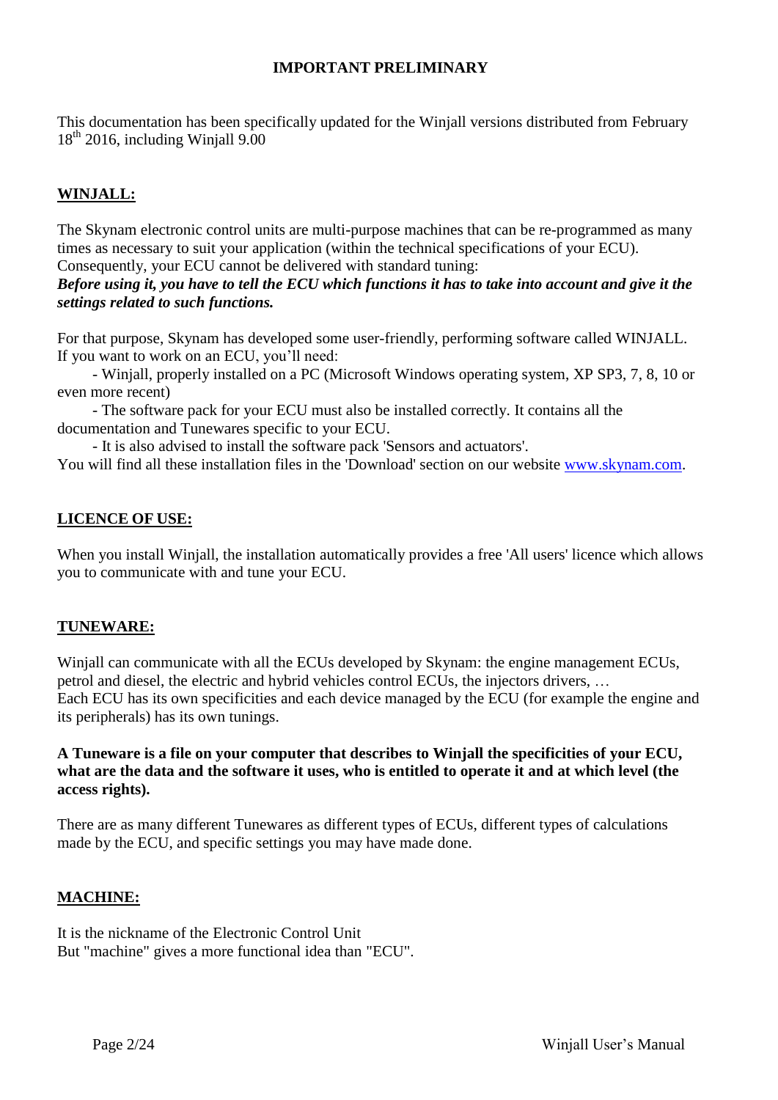### **IMPORTANT PRELIMINARY**

This documentation has been specifically updated for the Winjall versions distributed from February  $18<sup>th</sup>$  2016, including Winjall 9.00

# **WINJALL:**

The Skynam electronic control units are multi-purpose machines that can be re-programmed as many times as necessary to suit your application (within the technical specifications of your ECU). Consequently, your ECU cannot be delivered with standard tuning:

## *Before using it, you have to tell the ECU which functions it has to take into account and give it the settings related to such functions.*

For that purpose, Skynam has developed some user-friendly, performing software called WINJALL. If you want to work on an ECU, you'll need:

- Winjall, properly installed on a PC (Microsoft Windows operating system, XP SP3, 7, 8, 10 or even more recent)

- The software pack for your ECU must also be installed correctly. It contains all the documentation and Tunewares specific to your ECU.

- It is also advised to install the software pack 'Sensors and actuators'.

You will find all these installation files in the 'Download' section on our website [www.skynam.com.](http://www.skynam.com/)

## **LICENCE OF USE:**

When you install Winjall, the installation automatically provides a free 'All users' licence which allows you to communicate with and tune your ECU.

## **TUNEWARE:**

Winjall can communicate with all the ECUs developed by Skynam: the engine management ECUs, petrol and diesel, the electric and hybrid vehicles control ECUs, the injectors drivers, … Each ECU has its own specificities and each device managed by the ECU (for example the engine and its peripherals) has its own tunings.

### **A Tuneware is a file on your computer that describes to Winjall the specificities of your ECU, what are the data and the software it uses, who is entitled to operate it and at which level (the access rights).**

There are as many different Tunewares as different types of ECUs, different types of calculations made by the ECU, and specific settings you may have made done.

## **MACHINE:**

It is the nickname of the Electronic Control Unit But "machine" gives a more functional idea than "ECU".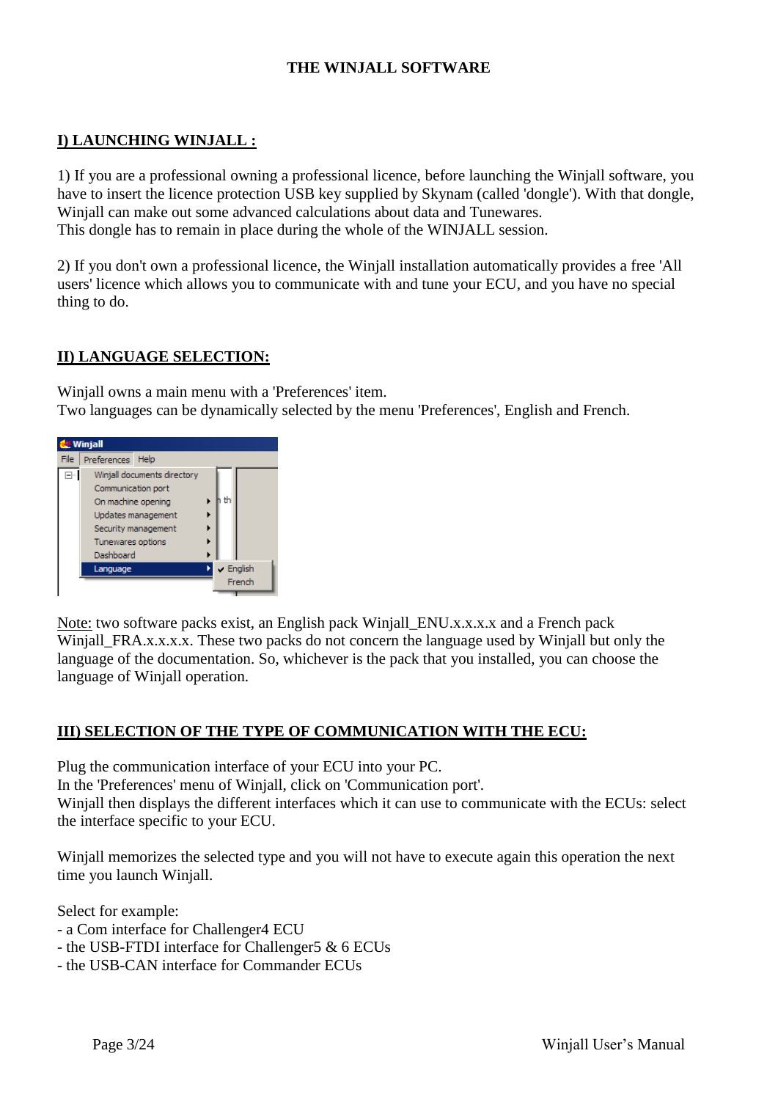## **THE WINJALL SOFTWARE**

### **I) LAUNCHING WINJALL :**

1) If you are a professional owning a professional licence, before launching the Winjall software, you have to insert the licence protection USB key supplied by Skynam (called 'dongle'). With that dongle, Winjall can make out some advanced calculations about data and Tunewares. This dongle has to remain in place during the whole of the WINJALL session.

2) If you don't own a professional licence, the Winjall installation automatically provides a free 'All users' licence which allows you to communicate with and tune your ECU, and you have no special thing to do.

#### **II) LANGUAGE SELECTION:**

Winjall owns a main menu with a 'Preferences' item. Two languages can be dynamically selected by the menu 'Preferences', English and French.



Note: two software packs exist, an English pack Winjall\_ENU.x.x.x.x and a French pack Winjall FRA.x.x.x.x. These two packs do not concern the language used by Winjall but only the language of the documentation. So, whichever is the pack that you installed, you can choose the language of Winjall operation.

#### **III) SELECTION OF THE TYPE OF COMMUNICATION WITH THE ECU:**

Plug the communication interface of your ECU into your PC.

In the 'Preferences' menu of Winjall, click on 'Communication port'.

Winjall then displays the different interfaces which it can use to communicate with the ECUs: select the interface specific to your ECU.

Winjall memorizes the selected type and you will not have to execute again this operation the next time you launch Winjall.

Select for example:

- a Com interface for Challenger4 ECU
- the USB-FTDI interface for Challenger5 & 6 ECUs
- the USB-CAN interface for Commander ECUs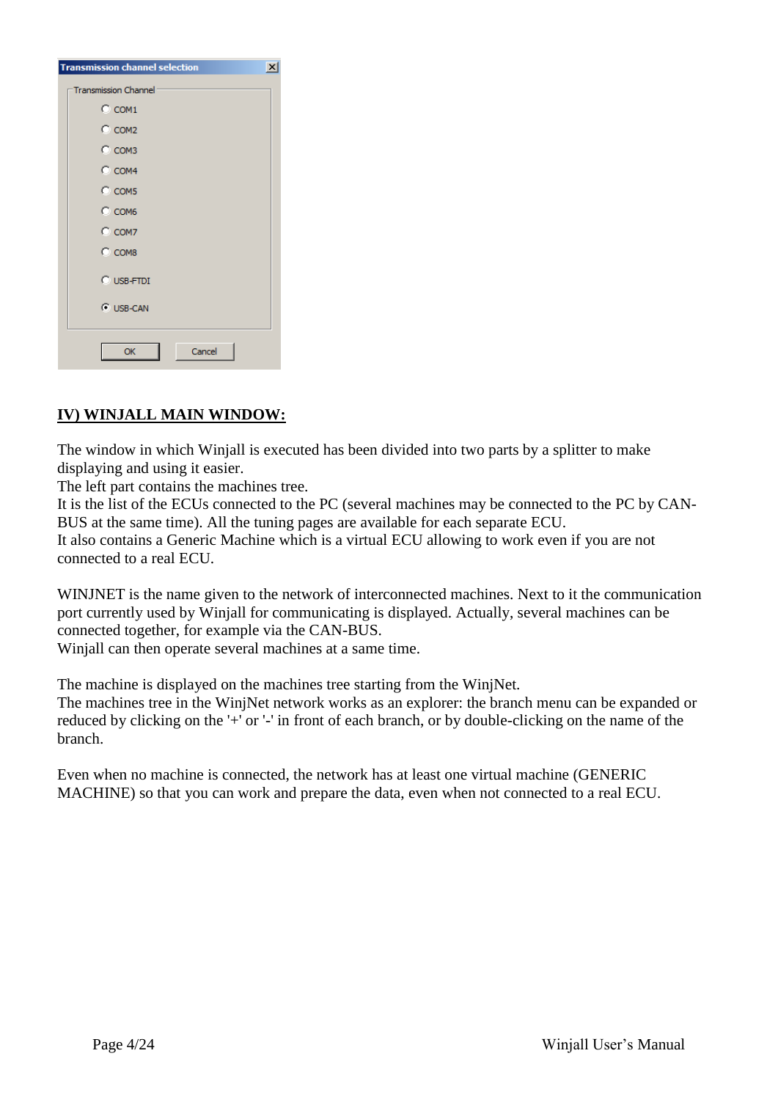| <b>Transmission channel selection</b><br>$\times$ |
|---------------------------------------------------|
| <b>Transmission Channel</b> :                     |
| $C$ COM1                                          |
| $C_{COM2}$                                        |
| $C_{COM3}$                                        |
| $C_{COM4}$                                        |
| $C$ COM5                                          |
| $C$ COM6                                          |
| $C$ COM7                                          |
| $C$ COM8                                          |
| $C$ USB-FTDI                                      |
| C USB-CAN                                         |
|                                                   |
| OK<br>Cancel                                      |

# **IV) WINJALL MAIN WINDOW:**

The window in which Winjall is executed has been divided into two parts by a splitter to make displaying and using it easier.

The left part contains the machines tree.

It is the list of the ECUs connected to the PC (several machines may be connected to the PC by CAN-BUS at the same time). All the tuning pages are available for each separate ECU.

It also contains a Generic Machine which is a virtual ECU allowing to work even if you are not connected to a real ECU.

WINJNET is the name given to the network of interconnected machines. Next to it the communication port currently used by Winjall for communicating is displayed. Actually, several machines can be connected together, for example via the CAN-BUS.

Winjall can then operate several machines at a same time.

The machine is displayed on the machines tree starting from the WinjNet.

The machines tree in the WinjNet network works as an explorer: the branch menu can be expanded or reduced by clicking on the '+' or '-' in front of each branch, or by double-clicking on the name of the branch.

Even when no machine is connected, the network has at least one virtual machine (GENERIC MACHINE) so that you can work and prepare the data, even when not connected to a real ECU.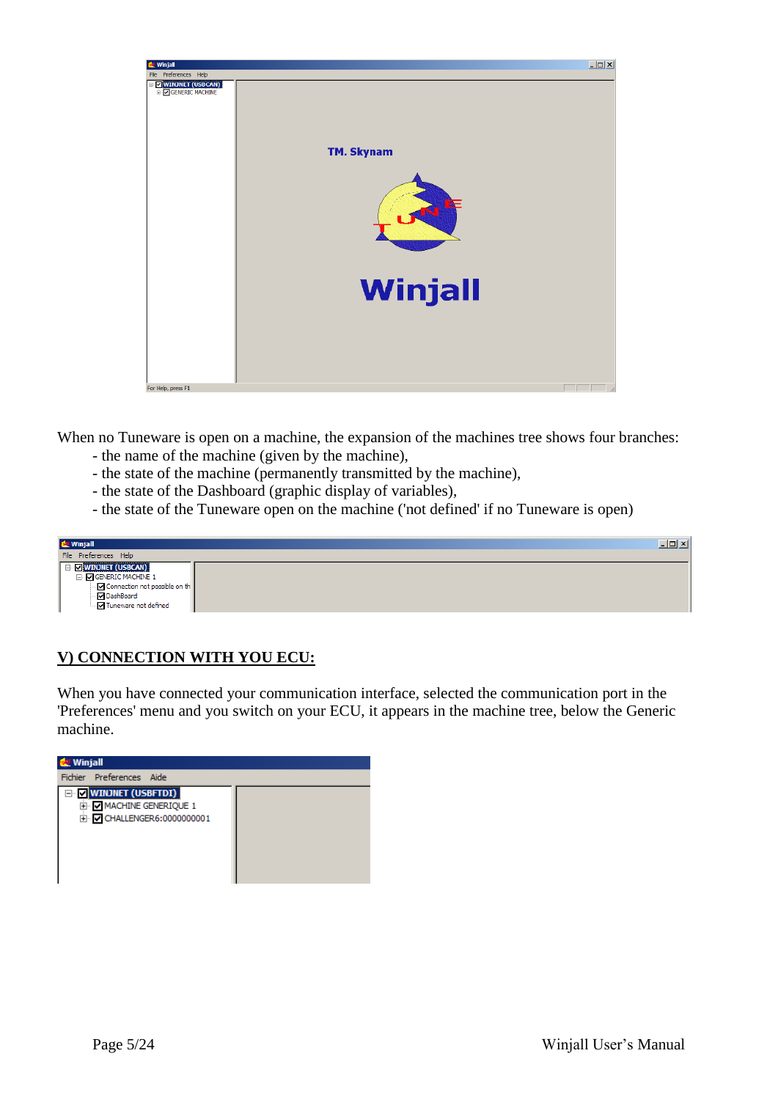

When no Tuneware is open on a machine, the expansion of the machines tree shows four branches:

- the name of the machine (given by the machine),
- the state of the machine (permanently transmitted by the machine),
- the state of the Dashboard (graphic display of variables),
- the state of the Tuneware open on the machine ('not defined' if no Tuneware is open)

| <b>de</b> Winjall                                                                                                                                                                    |  |  |  |  |  |
|--------------------------------------------------------------------------------------------------------------------------------------------------------------------------------------|--|--|--|--|--|
| File Preferences Help                                                                                                                                                                |  |  |  |  |  |
| <b>E V</b> WINJNET (USBCAN)<br>O GENERIC MACHINE 1<br>$\overline{\phantom{a}}$ Connection not possible on the<br>— <mark>☑</mark> DashBoard<br>— <mark>☑</mark> Tuneware not defined |  |  |  |  |  |

## **V) CONNECTION WITH YOU ECU:**

When you have connected your communication interface, selected the communication port in the 'Preferences' menu and you switch on your ECU, it appears in the machine tree, below the Generic machine.

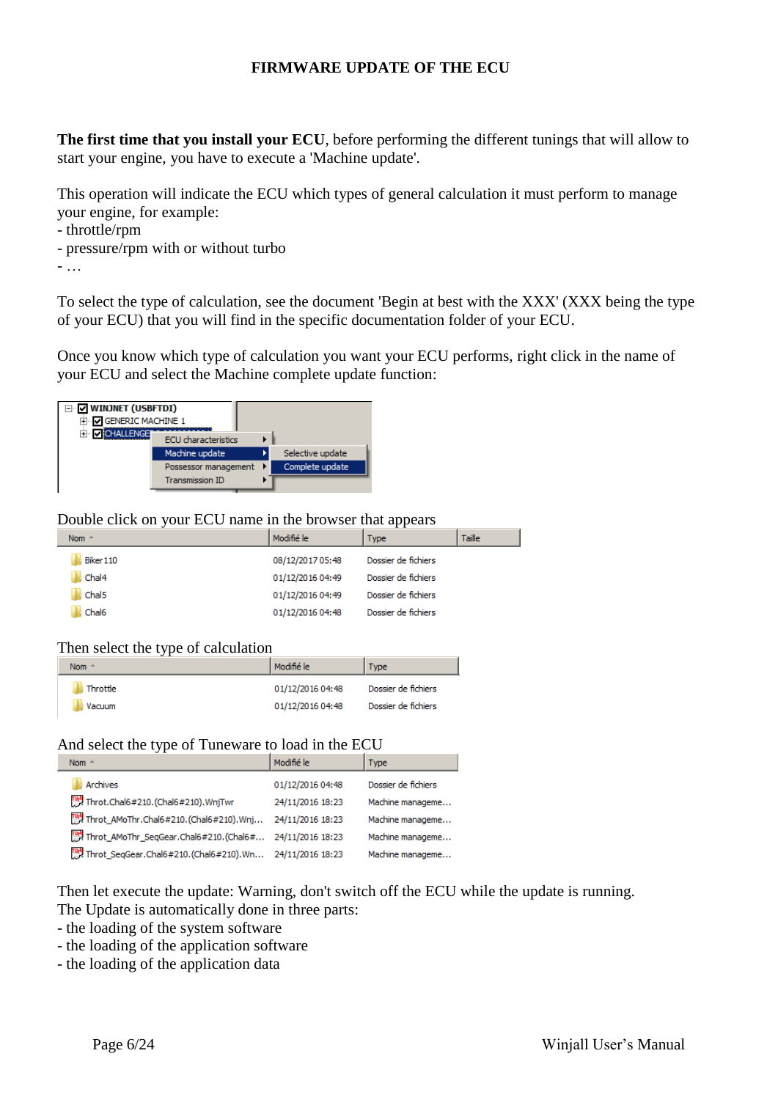### **FIRMWARE UPDATE OF THE ECU**

**The first time that you install your ECU**, before performing the different tunings that will allow to start your engine, you have to execute a 'Machine update'.

This operation will indicate the ECU which types of general calculation it must perform to manage your engine, for example:

- throttle/rpm
- pressure/rpm with or without turbo

- …

To select the type of calculation, see the document 'Begin at best with the XXX' (XXX being the type of your ECU) that you will find in the specific documentation folder of your ECU.

Once you know which type of calculation you want your ECU performs, right click in the name of your ECU and select the Machine complete update function:



#### Double click on your ECU name in the browser that appears

| Nom $-$           | Modifié le       | <b>Type</b>         | Taille |
|-------------------|------------------|---------------------|--------|
| Biker 110         | 08/12/2017 05:48 | Dossier de fichiers |        |
| Chal4             | 01/12/2016 04:49 | Dossier de fichiers |        |
| Chal <sub>5</sub> | 01/12/2016 04:49 | Dossier de fichiers |        |
| Chal6             | 01/12/2016 04:48 | Dossier de fichiers |        |

#### Then select the type of calculation

| Nom $-$  | Modifié le       | <b>Type</b>         |
|----------|------------------|---------------------|
| Throttle | 01/12/2016 04:48 | Dossier de fichiers |
| Vacuum   | 01/12/2016 04:48 | Dossier de fichiers |

#### And select the type of Tuneware to load in the ECU

| Nom $\triangleq$                          | Modifié le       | <b>Type</b>         |
|-------------------------------------------|------------------|---------------------|
| <b>Archives</b>                           | 01/12/2016 04:48 | Dossier de fichiers |
| Throt.Chal6#210.(Chal6#210).WnjTwr        | 24/11/2016 18:23 | Machine manageme    |
| 『 Throt_AMoThr.Chal6#210.(Chal6#210).Wnj  | 24/11/2016 18:23 | Machine manageme    |
| 『빵 Throt_AMoThr_SeqGear.Chal6#210.(Chal6# | 24/11/2016 18:23 | Machine manageme    |
| Throt_SeqGear.Chal6#210.(Chal6#210).Wn    | 24/11/2016 18:23 | Machine manageme    |

Then let execute the update: Warning, don't switch off the ECU while the update is running. The Update is automatically done in three parts:

- the loading of the system software
- the loading of the application software
- the loading of the application data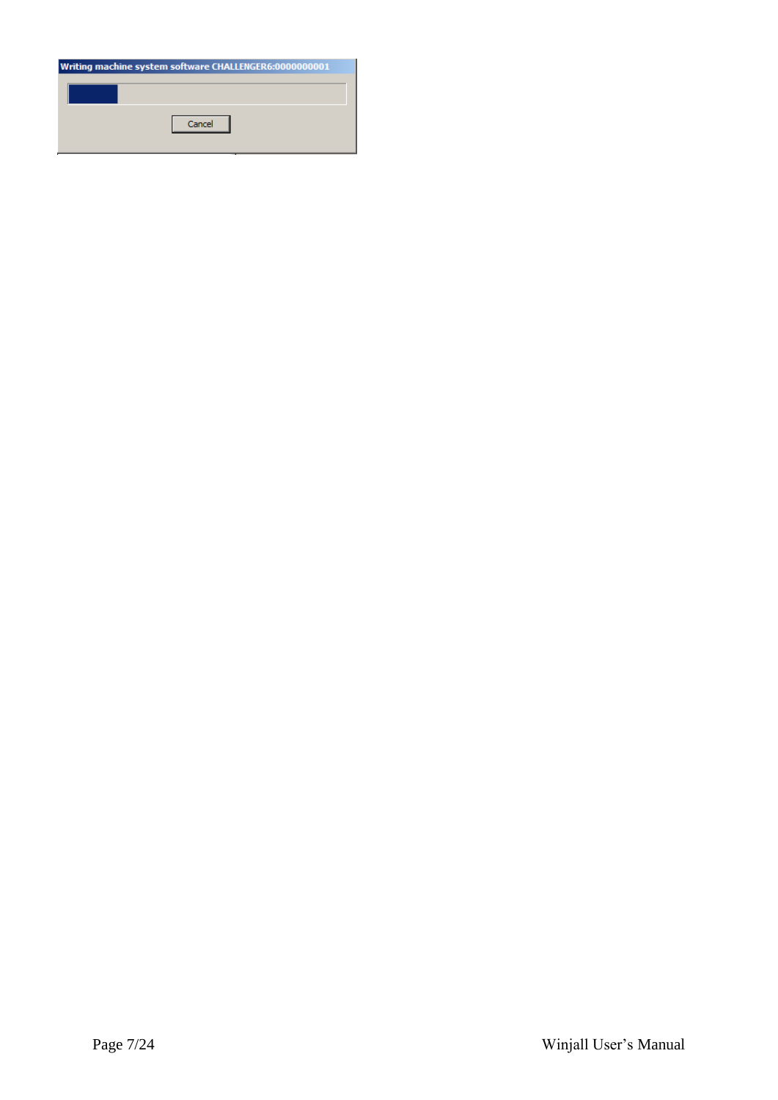| Writing machine system software CHALLENGER6:0000000001 |  |  |  |  |  |  |  |
|--------------------------------------------------------|--|--|--|--|--|--|--|
| Cancel                                                 |  |  |  |  |  |  |  |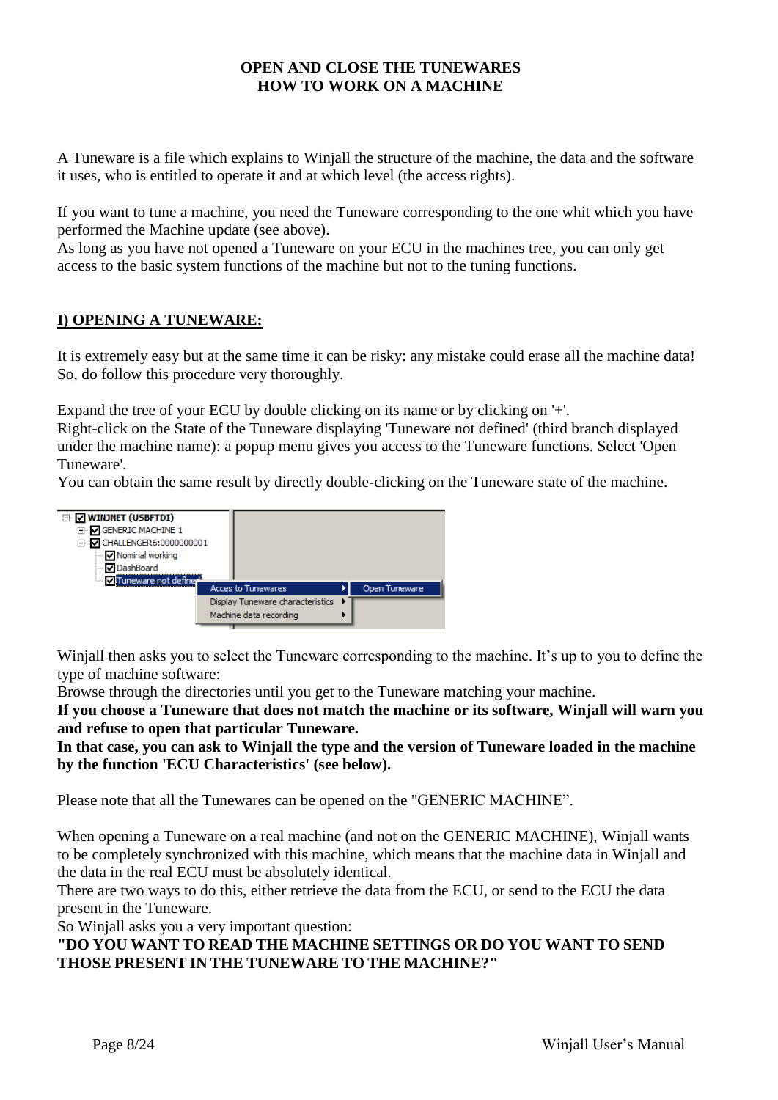## **OPEN AND CLOSE THE TUNEWARES HOW TO WORK ON A MACHINE**

A Tuneware is a file which explains to Winjall the structure of the machine, the data and the software it uses, who is entitled to operate it and at which level (the access rights).

If you want to tune a machine, you need the Tuneware corresponding to the one whit which you have performed the Machine update (see above).

As long as you have not opened a Tuneware on your ECU in the machines tree, you can only get access to the basic system functions of the machine but not to the tuning functions.

## **I) OPENING A TUNEWARE:**

It is extremely easy but at the same time it can be risky: any mistake could erase all the machine data! So, do follow this procedure very thoroughly.

Expand the tree of your ECU by double clicking on its name or by clicking on '+'.

Right-click on the State of the Tuneware displaying 'Tuneware not defined' (third branch displayed under the machine name): a popup menu gives you access to the Tuneware functions. Select 'Open Tuneware'.

You can obtain the same result by directly double-clicking on the Tuneware state of the machine.



Winjall then asks you to select the Tuneware corresponding to the machine. It's up to you to define the type of machine software:

Browse through the directories until you get to the Tuneware matching your machine.

**If you choose a Tuneware that does not match the machine or its software, Winjall will warn you and refuse to open that particular Tuneware.**

**In that case, you can ask to Winjall the type and the version of Tuneware loaded in the machine by the function 'ECU Characteristics' (see below).**

Please note that all the Tunewares can be opened on the "GENERIC MACHINE".

When opening a Tuneware on a real machine (and not on the GENERIC MACHINE), Winjall wants to be completely synchronized with this machine, which means that the machine data in Winjall and the data in the real ECU must be absolutely identical.

There are two ways to do this, either retrieve the data from the ECU, or send to the ECU the data present in the Tuneware.

So Winjall asks you a very important question:

**"DO YOU WANT TO READ THE MACHINE SETTINGS OR DO YOU WANT TO SEND THOSE PRESENT IN THE TUNEWARE TO THE MACHINE?"**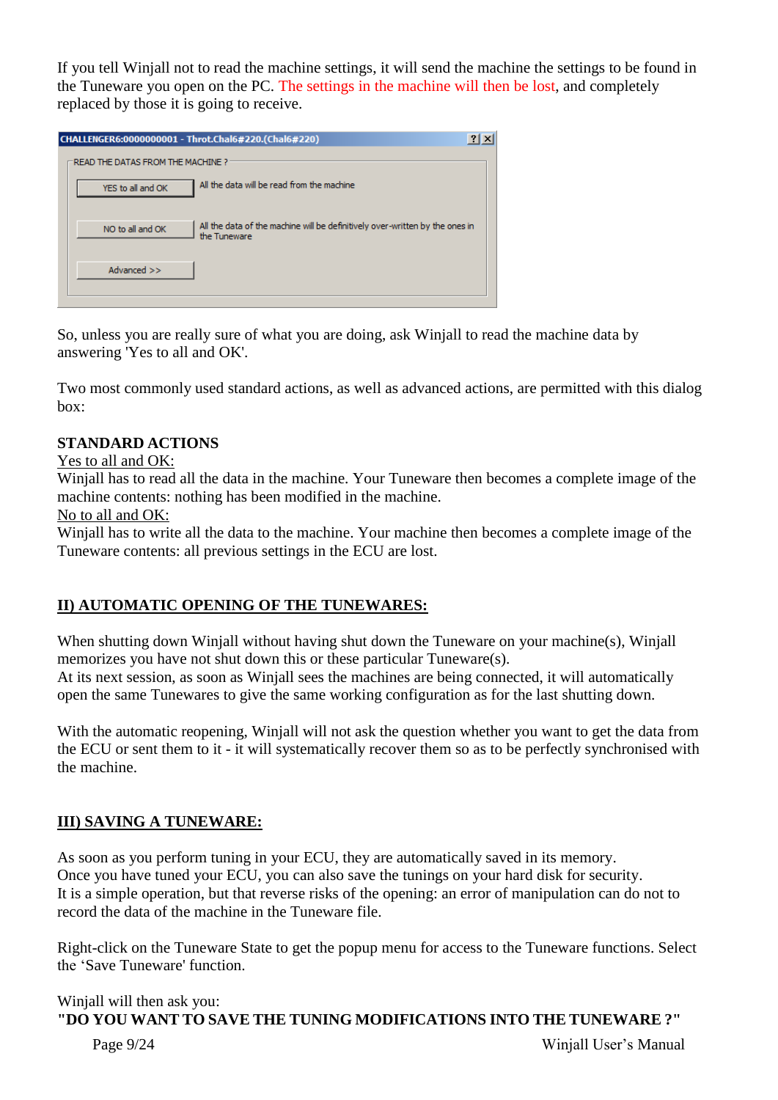If you tell Winjall not to read the machine settings, it will send the machine the settings to be found in the Tuneware you open on the PC. The settings in the machine will then be lost, and completely replaced by those it is going to receive.

| CHALLENGER6:0000000001 - Throt.Chal6#220.(Chal6#220)                                                             | $ ?  \times$ |
|------------------------------------------------------------------------------------------------------------------|--------------|
| <b>READ THE DATAS FROM THE MACHINE ?</b>                                                                         |              |
| All the data will be read from the machine<br>YES to all and OK                                                  |              |
| All the data of the machine will be definitively over-written by the ones in<br>NO to all and OK<br>the Tuneware |              |
| Advanced >>                                                                                                      |              |

So, unless you are really sure of what you are doing, ask Winjall to read the machine data by answering 'Yes to all and OK'.

Two most commonly used standard actions, as well as advanced actions, are permitted with this dialog box:

## **STANDARD ACTIONS**

Yes to all and OK:

Winjall has to read all the data in the machine. Your Tuneware then becomes a complete image of the machine contents: nothing has been modified in the machine.

No to all and OK:

Winjall has to write all the data to the machine. Your machine then becomes a complete image of the Tuneware contents: all previous settings in the ECU are lost.

## **II) AUTOMATIC OPENING OF THE TUNEWARES:**

When shutting down Winjall without having shut down the Tuneware on your machine(s), Winjall memorizes you have not shut down this or these particular Tuneware(s).

At its next session, as soon as Winjall sees the machines are being connected, it will automatically open the same Tunewares to give the same working configuration as for the last shutting down.

With the automatic reopening, Winjall will not ask the question whether you want to get the data from the ECU or sent them to it - it will systematically recover them so as to be perfectly synchronised with the machine.

## **III) SAVING A TUNEWARE:**

As soon as you perform tuning in your ECU, they are automatically saved in its memory. Once you have tuned your ECU, you can also save the tunings on your hard disk for security. It is a simple operation, but that reverse risks of the opening: an error of manipulation can do not to record the data of the machine in the Tuneware file.

Right-click on the Tuneware State to get the popup menu for access to the Tuneware functions. Select the 'Save Tuneware' function.

## Winjall will then ask you: **"DO YOU WANT TO SAVE THE TUNING MODIFICATIONS INTO THE TUNEWARE ?"**

Page 9/24 Winjall User's Manual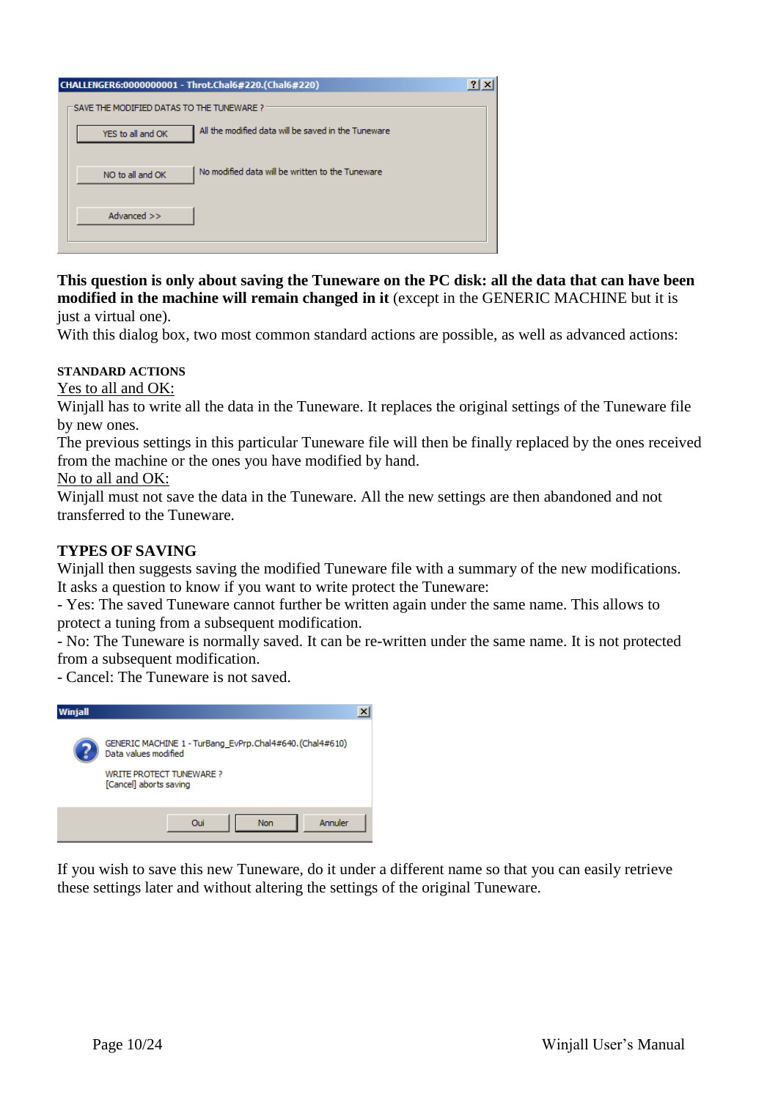| CHALLENGER6:0000000001 - Throt.Chal6#220.(Chal6#220)                     | $?$   $\times$ |
|--------------------------------------------------------------------------|----------------|
| SAVE THE MODIFIED DATAS TO THE TUNEWARE?                                 |                |
| All the modified data will be saved in the Tuneware<br>YES to all and OK |                |
| No modified data will be written to the Tuneware<br>NO to all and OK     |                |
| Advanced >>                                                              |                |
|                                                                          |                |

#### **This question is only about saving the Tuneware on the PC disk: all the data that can have been modified in the machine will remain changed in it** (except in the GENERIC MACHINE but it is just a virtual one).

With this dialog box, two most common standard actions are possible, as well as advanced actions:

#### **STANDARD ACTIONS**

Yes to all and OK:

Winjall has to write all the data in the Tuneware. It replaces the original settings of the Tuneware file by new ones.

The previous settings in this particular Tuneware file will then be finally replaced by the ones received from the machine or the ones you have modified by hand.

#### No to all and OK:

Winjall must not save the data in the Tuneware. All the new settings are then abandoned and not transferred to the Tuneware.

#### **TYPES OF SAVING**

Winjall then suggests saving the modified Tuneware file with a summary of the new modifications. It asks a question to know if you want to write protect the Tuneware:

- Yes: The saved Tuneware cannot further be written again under the same name. This allows to protect a tuning from a subsequent modification.

- No: The Tuneware is normally saved. It can be re-written under the same name. It is not protected from a subsequent modification.

- Cancel: The Tuneware is not saved.

| Winjall |                                                                                                                                              |  |
|---------|----------------------------------------------------------------------------------------------------------------------------------------------|--|
|         | GENERIC MACHINE 1 - TurBang EvPrp.Chal4#640. (Chal4#610)<br>Data values modified<br><b>WRITE PROTECT TUNEWARE?</b><br>[Cancel] aborts saving |  |
|         | Annuler<br>Non<br>Oui                                                                                                                        |  |

If you wish to save this new Tuneware, do it under a different name so that you can easily retrieve these settings later and without altering the settings of the original Tuneware.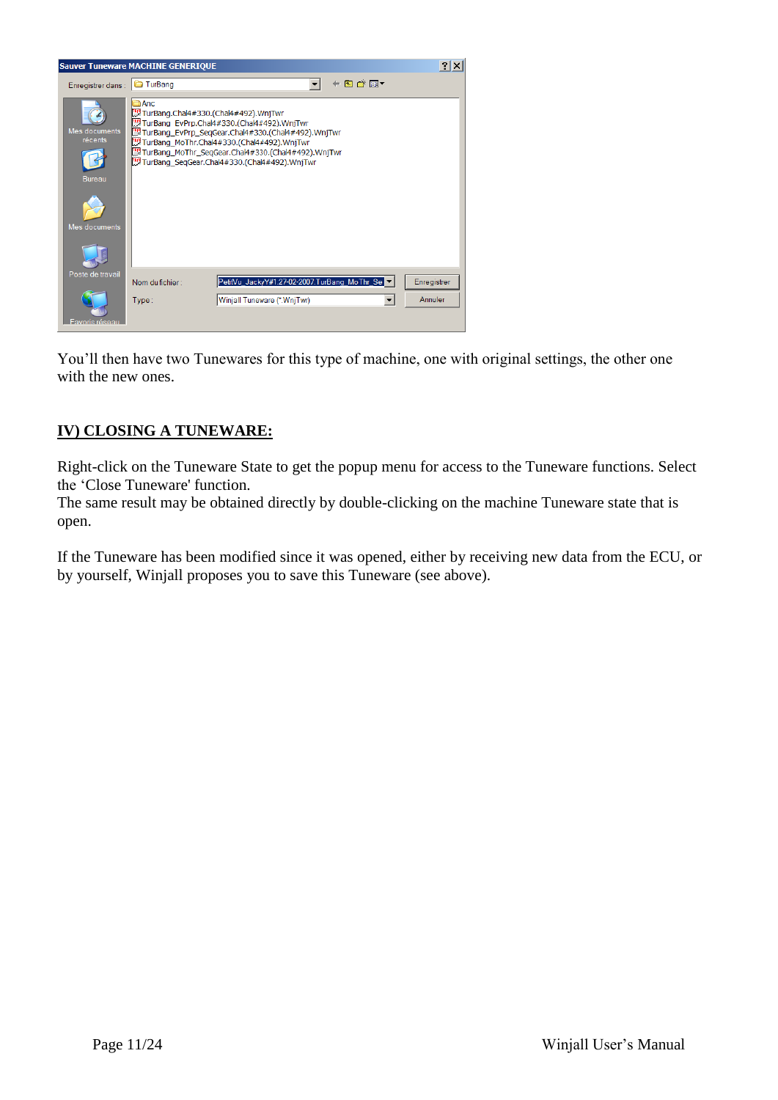

You'll then have two Tunewares for this type of machine, one with original settings, the other one with the new ones.

## **IV) CLOSING A TUNEWARE:**

Right-click on the Tuneware State to get the popup menu for access to the Tuneware functions. Select the 'Close Tuneware' function.

The same result may be obtained directly by double-clicking on the machine Tuneware state that is open.

If the Tuneware has been modified since it was opened, either by receiving new data from the ECU, or by yourself, Winjall proposes you to save this Tuneware (see above).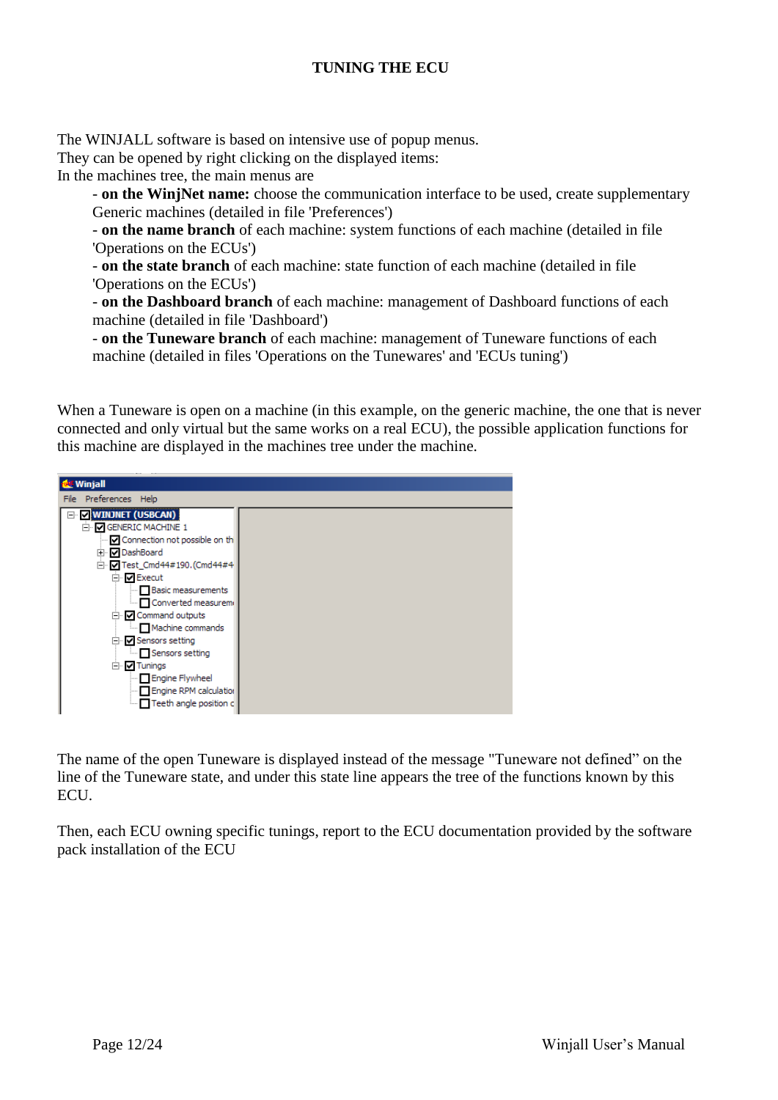## **TUNING THE ECU**

The WINJALL software is based on intensive use of popup menus.

They can be opened by right clicking on the displayed items:

In the machines tree, the main menus are

- **on the WinjNet name:** choose the communication interface to be used, create supplementary Generic machines (detailed in file 'Preferences')

- **on the name branch** of each machine: system functions of each machine (detailed in file 'Operations on the ECUs')

- **on the state branch** of each machine: state function of each machine (detailed in file 'Operations on the ECUs')

- **on the Dashboard branch** of each machine: management of Dashboard functions of each machine (detailed in file 'Dashboard')

- **on the Tuneware branch** of each machine: management of Tuneware functions of each machine (detailed in files 'Operations on the Tunewares' and 'ECUs tuning')

When a Tuneware is open on a machine (in this example, on the generic machine, the one that is never connected and only virtual but the same works on a real ECU), the possible application functions for this machine are displayed in the machines tree under the machine.



The name of the open Tuneware is displayed instead of the message "Tuneware not defined" on the line of the Tuneware state, and under this state line appears the tree of the functions known by this ECU.

Then, each ECU owning specific tunings, report to the ECU documentation provided by the software pack installation of the ECU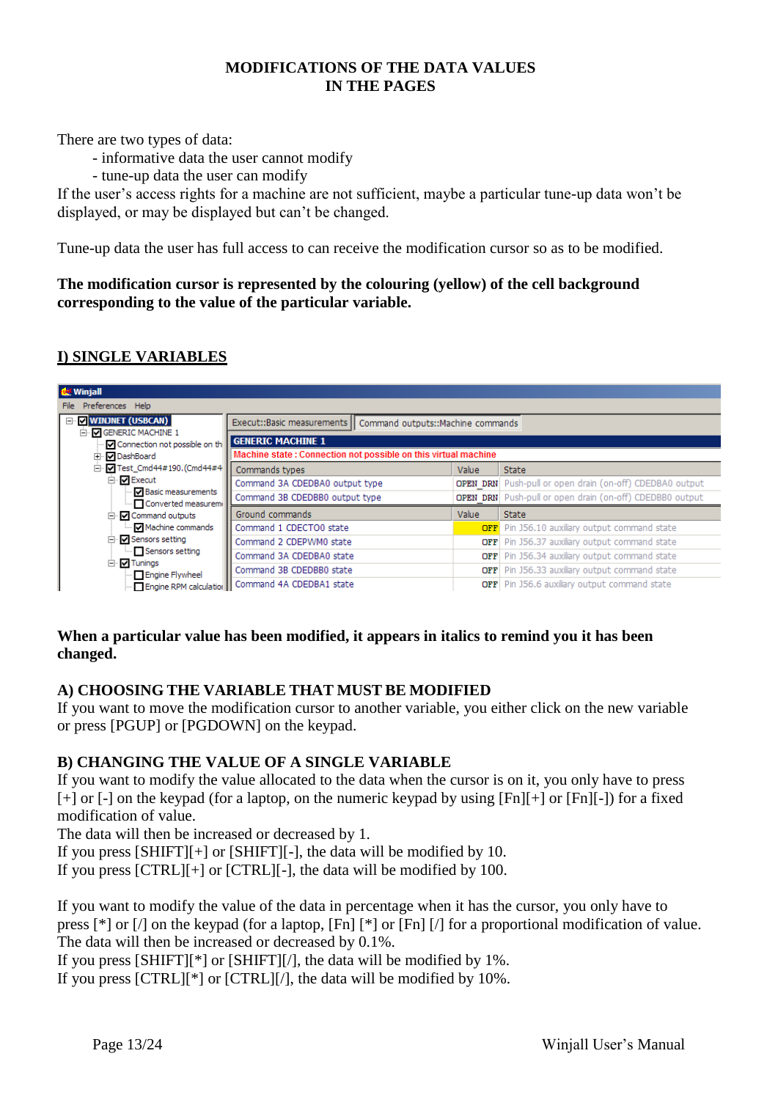## **MODIFICATIONS OF THE DATA VALUES IN THE PAGES**

There are two types of data:

- informative data the user cannot modify
- tune-up data the user can modify

If the user's access rights for a machine are not sufficient, maybe a particular tune-up data won't be displayed, or may be displayed but can't be changed.

Tune-up data the user has full access to can receive the modification cursor so as to be modified.

**The modification cursor is represented by the colouring (yellow) of the cell background corresponding to the value of the particular variable.**

## **I) SINGLE VARIABLES**

| <b>du</b> Winjall                                                                                                                                |                                                                |            |                                                                 |  |  |  |  |  |  |
|--------------------------------------------------------------------------------------------------------------------------------------------------|----------------------------------------------------------------|------------|-----------------------------------------------------------------|--|--|--|--|--|--|
| Preferences Help<br>File                                                                                                                         |                                                                |            |                                                                 |  |  |  |  |  |  |
| <b>V</b> WINJNET (USBCAN)<br>F<br>D. V GENERIC MACHINE 1                                                                                         | Execut::Basic measurements   Command outputs::Machine commands |            |                                                                 |  |  |  |  |  |  |
| <b>GENERIC MACHINE 1</b><br>Connection not possible on the<br>Machine state: Connection not possible on this virtual machine<br>√ DashBoard<br>田 |                                                                |            |                                                                 |  |  |  |  |  |  |
| $\lVert \cdot \rVert = \lVert \cdot \rVert$ Test Cmd44#190. (Cmd44#4<br>Ėŀ                                                                       | Commands types<br><b>State</b><br>Value                        |            |                                                                 |  |  |  |  |  |  |
| 白 <b>D</b> Execut                                                                                                                                | Command 3A CDEDBA0 output type                                 |            | <b>OPEN DRN</b> Push-pull or open drain (on-off) CDEDBA0 output |  |  |  |  |  |  |
| - Ø Basic measurements<br>- Converted measurem                                                                                                   | Command 3B CDEDBB0 output type                                 |            | <b>OPEN DRN</b> Push-pull or open drain (on-off) CDEDBB0 output |  |  |  |  |  |  |
| □ V Command outputs                                                                                                                              | Ground commands                                                | Value      | <b>State</b>                                                    |  |  |  |  |  |  |
| — <b>जि</b> Machine commands                                                                                                                     | Command 1 CDECTO0 state                                        |            | OFF Pin J56.10 auxiliary output command state                   |  |  |  |  |  |  |
| □ V Sensors setting                                                                                                                              | Command 2 CDEPWM0 state                                        | <b>OFF</b> | Pin J56.37 auxiliary output command state                       |  |  |  |  |  |  |
| Sensors setting                                                                                                                                  | Command 3A CDEDBA0 state                                       | OFF        | Pin J56.34 auxiliary output command state                       |  |  |  |  |  |  |
| □ D Tunings<br>Figine Flywheel                                                                                                                   | Command 3B CDEDBB0 state                                       | <b>OFF</b> | Pin J56.33 auxiliary output command state                       |  |  |  |  |  |  |
|                                                                                                                                                  | Engine RPM calculatio    Command 4A CDEDBA1 state              |            | OFF Pin J56.6 auxiliary output command state                    |  |  |  |  |  |  |

## **When a particular value has been modified, it appears in italics to remind you it has been changed.**

## **A) CHOOSING THE VARIABLE THAT MUST BE MODIFIED**

If you want to move the modification cursor to another variable, you either click on the new variable or press [PGUP] or [PGDOWN] on the keypad.

#### **B) CHANGING THE VALUE OF A SINGLE VARIABLE**

If you want to modify the value allocated to the data when the cursor is on it, you only have to press [+] or [-] on the keypad (for a laptop, on the numeric keypad by using [Fn][+] or [Fn][-]) for a fixed modification of value.

The data will then be increased or decreased by 1.

If you press [SHIFT][+] or [SHIFT][-], the data will be modified by 10.

If you press [CTRL][+] or [CTRL][-], the data will be modified by 100.

If you want to modify the value of the data in percentage when it has the cursor, you only have to press [\*] or [/] on the keypad (for a laptop, [Fn] [\*] or [Fn] [/] for a proportional modification of value. The data will then be increased or decreased by 0.1%.

If you press [SHIFT][\*] or [SHIFT][/], the data will be modified by 1%.

If you press [CTRL][\*] or [CTRL][/], the data will be modified by 10%.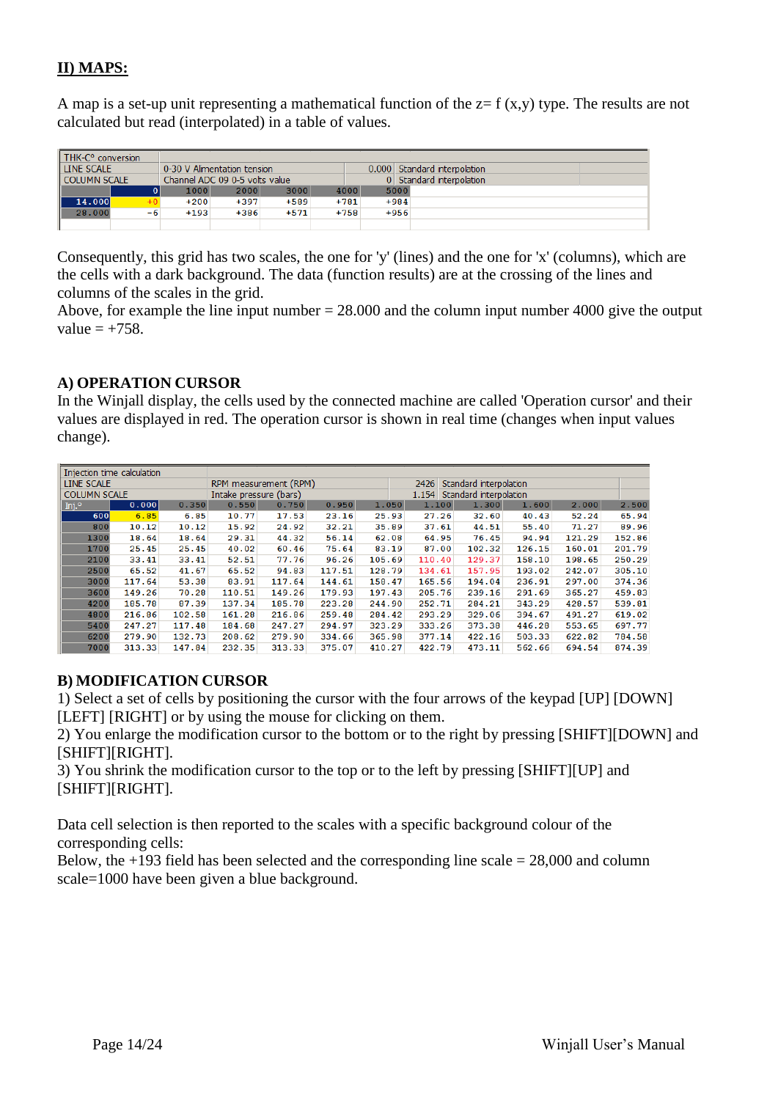## **II) MAPS:**

A map is a set-up unit representing a mathematical function of the  $z = f(x,y)$  type. The results are not calculated but read (interpolated) in a table of values.

| THK-C <sup>o</sup> conversion |      |        |                                |        |        |                              |  |
|-------------------------------|------|--------|--------------------------------|--------|--------|------------------------------|--|
| LINE SCALE                    |      |        | 0-30 V Alimentation tension    |        |        | 0.000 Standard interpolation |  |
| COLUMN SCALE                  |      |        | Channel ADC 09 0-5 volts value |        |        | 0 Standard interpolation     |  |
|                               |      | 1000   | 2000                           | 3000   | 4000   | 5000                         |  |
| 14,000                        | $+0$ | $+200$ | $+397$                         | $+589$ | $+781$ | $+984$                       |  |
| 28.000                        | $-6$ | $+193$ | $+386$                         | $+571$ | $+758$ | $+956$                       |  |
|                               |      |        |                                |        |        |                              |  |

Consequently, this grid has two scales, the one for 'y' (lines) and the one for 'x' (columns), which are the cells with a dark background. The data (function results) are at the crossing of the lines and columns of the scales in the grid.

Above, for example the line input number = 28.000 and the column input number 4000 give the output value  $= +758$ .

### **A) OPERATION CURSOR**

In the Winjall display, the cells used by the connected machine are called 'Operation cursor' and their values are displayed in red. The operation cursor is shown in real time (changes when input values change).

| Injection time calculation |        |        |                        |                       |        |        |                                |                        |        |        |        |
|----------------------------|--------|--------|------------------------|-----------------------|--------|--------|--------------------------------|------------------------|--------|--------|--------|
| LINE SCALE                 |        |        |                        | RPM measurement (RPM) |        |        | 2426<br>Standard interpolation |                        |        |        |        |
| <b>COLUMN SCALE</b>        |        |        | Intake pressure (bars) |                       |        |        | 1.154                          | Standard interpolation |        |        |        |
| Inj. $\circ$               | 0.000  | 0.350  | 0.550                  | 0.750                 | 0.950  | 1.050  | 1.100                          | 1.300                  | 1.600  | 2.000  | 2.500  |
| 600                        | 6.85   | 6.85   | 10.77                  | 17.53                 | 23.16  | 25.93  | 27.26                          | 32.60                  | 40.43  | 52.24  | 65.94  |
| 800                        | 10.12  | 10.12  | 15.92                  | 24.92                 | 32.21  | 35.89  | 37.61                          | 44.51                  | 55.40  | 71.27  | 89.96  |
| 1300                       | 18.64  | 18.64  | 29.31                  | 44.32                 | 56.14  | 62.08  | 64.95                          | 76.45                  | 94.94  | 121.29 | 152.86 |
| 1700                       | 25.45  | 25.45  | 40.02                  | 60.46                 | 75.64  | 83.19  | 87.00                          | 102.32                 | 126.15 | 160.01 | 201.79 |
| 2100                       | 33.41  | 33.41  | 52.51                  | 77.76                 | 96.26  | 105.69 | 110.40                         | 129.37                 | 158.10 | 198.65 | 250.29 |
| 2500                       | 65.52  | 41.67  | 65.52                  | 94.83                 | 117.51 | 128.79 | 134.61                         | 157.95                 | 193.02 | 242.07 | 305.10 |
| 3000                       | 117.64 | 53.38  | 83.91                  | 117.64                | 144.61 | 158.47 | 165.56                         | 194.04                 | 236.91 | 297.00 | 374.36 |
| 3600                       | 149.26 | 70.28  | 110.51                 | 149.26                | 179.93 | 197.43 | 205.76                         | 239.16                 | 291.69 | 365.27 | 459.83 |
| 4200                       | 185.78 | 87.39  | 137.34                 | 185.78                | 223.28 | 244.90 | 252.71                         | 284.21                 | 343.29 | 428.57 | 539.81 |
| 4800                       | 216.86 | 102.58 | 161.28                 | 216.86                | 259.48 | 284.42 | 293.29                         | 329.06                 | 394.67 | 491.27 | 619.02 |
| 5400                       | 247.27 | 117.48 | 184.68                 | 247.27                | 294.97 | 323.29 | 333.26                         | 373.38                 | 446.28 | 553.65 | 697.77 |
| 6200                       | 279.90 | 132.73 | 208.62                 | 279.90                | 334.66 | 365.98 | 377.14                         | 422.16                 | 503.33 | 622.82 | 784.58 |
| 7000                       | 313.33 | 147.84 | 232.35                 | 313.33                | 375.07 | 410.27 | 422.79                         | 473.11                 | 562.66 | 694.54 | 874.39 |

## **B) MODIFICATION CURSOR**

1) Select a set of cells by positioning the cursor with the four arrows of the keypad [UP] [DOWN] [LEFT] [RIGHT] or by using the mouse for clicking on them.

2) You enlarge the modification cursor to the bottom or to the right by pressing [SHIFT][DOWN] and [SHIFT][RIGHT].

3) You shrink the modification cursor to the top or to the left by pressing [SHIFT][UP] and [SHIFT][RIGHT].

Data cell selection is then reported to the scales with a specific background colour of the corresponding cells:

Below, the  $+193$  field has been selected and the corresponding line scale  $= 28,000$  and column scale=1000 have been given a blue background.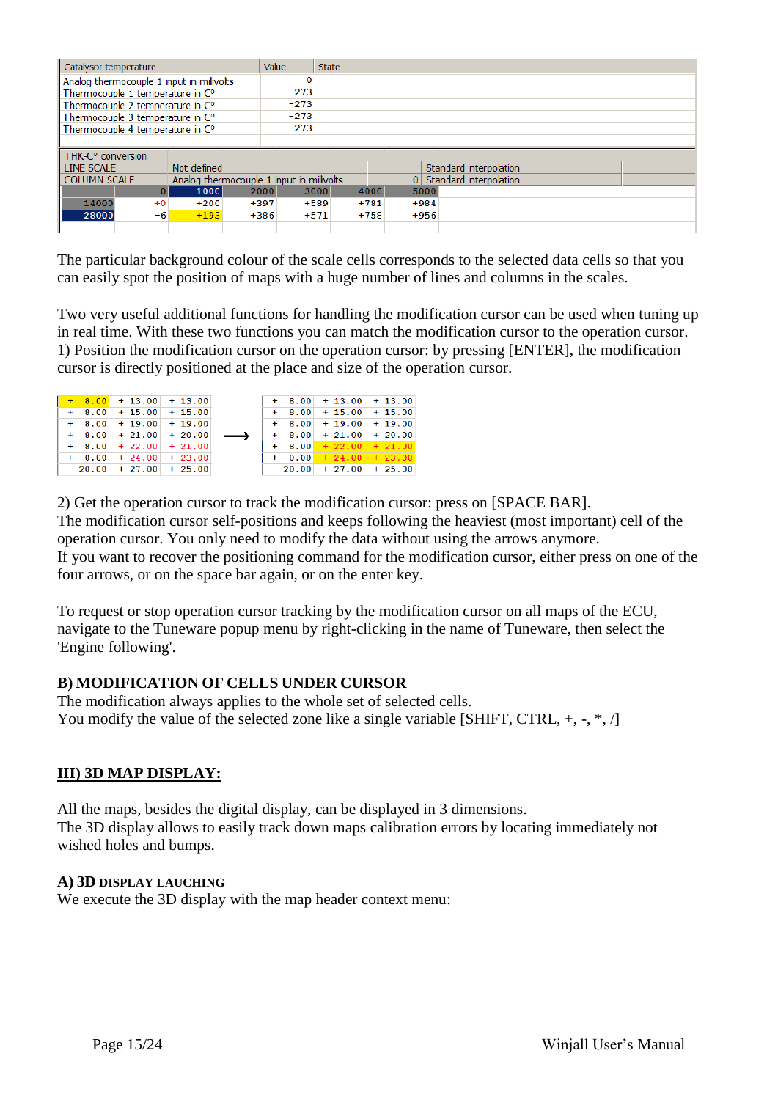| Catalysor temperature         |                                  |                                           | Value                                     |        | <b>State</b> |        |                          |
|-------------------------------|----------------------------------|-------------------------------------------|-------------------------------------------|--------|--------------|--------|--------------------------|
|                               |                                  | Analog thermocouple 1 input in millivolts |                                           |        |              |        |                          |
|                               | Thermocouple 1 temperature in C° |                                           |                                           | $-273$ |              |        |                          |
|                               | Thermocouple 2 temperature in C° |                                           |                                           | $-273$ |              |        |                          |
|                               | Thermocouple 3 temperature in C° |                                           |                                           | $-273$ |              |        |                          |
|                               | Thermocouple 4 temperature in C° |                                           |                                           |        |              |        |                          |
|                               |                                  |                                           |                                           |        |              |        |                          |
| THK-C <sup>o</sup> conversion |                                  |                                           |                                           |        |              |        |                          |
| LINE SCALE                    |                                  | Not defined                               |                                           |        |              |        | Standard interpolation   |
| <b>COLUMN SCALE</b>           |                                  |                                           | Analog thermocouple 1 input in millivolts |        |              |        | 0 Standard interpolation |
|                               | $\overline{0}$                   | 2000<br>1000                              | 3000                                      | 4000   | 5000         |        |                          |
|                               |                                  |                                           |                                           |        |              |        |                          |
| 14000                         | $+0$                             | $+200$                                    | $+397$                                    | $+589$ | $+781$       | $+984$ |                          |
| 28000                         | -6                               | $+193$                                    | $+386$                                    | $+571$ | $+758$       | $+956$ |                          |

The particular background colour of the scale cells corresponds to the selected data cells so that you can easily spot the position of maps with a huge number of lines and columns in the scales.

Two very useful additional functions for handling the modification cursor can be used when tuning up in real time. With these two functions you can match the modification cursor to the operation cursor. 1) Position the modification cursor on the operation cursor: by pressing [ENTER], the modification cursor is directly positioned at the place and size of the operation cursor.

|  | $+$ 8.00 + 13.00 + 13.00 |  |  | $+$ 8.00 + 13.00 + 13.00     |  |
|--|--------------------------|--|--|------------------------------|--|
|  | $+$ 8.00 + 15.00 + 15.00 |  |  | $+$ 8.00 + 15.00 + 15.00     |  |
|  | $+$ 8.00 + 19.00 + 19.00 |  |  | $+$ 8.00 + 19.00 + 19.00     |  |
|  | $+$ 8.00 + 21.00 + 20.00 |  |  | $+$ 8.00 + 21.00 + 20.00     |  |
|  | $+$ 8.00 + 22.00 + 21.00 |  |  | $+$ 8.00 $+$ 22.00 $+$ 21.00 |  |
|  | $+$ 0.00 + 24.00 + 23.00 |  |  | $+ 0.00 + 24.00 + 23.00$     |  |
|  | $-20.00$ + 27.00 + 25.00 |  |  | $-20.00$ + 27.00 + 25.00     |  |

2) Get the operation cursor to track the modification cursor: press on [SPACE BAR]. The modification cursor self-positions and keeps following the heaviest (most important) cell of the operation cursor. You only need to modify the data without using the arrows anymore. If you want to recover the positioning command for the modification cursor, either press on one of the four arrows, or on the space bar again, or on the enter key.

To request or stop operation cursor tracking by the modification cursor on all maps of the ECU, navigate to the Tuneware popup menu by right-clicking in the name of Tuneware, then select the 'Engine following'.

## **B) MODIFICATION OF CELLS UNDER CURSOR**

The modification always applies to the whole set of selected cells. You modify the value of the selected zone like a single variable [SHIFT, CTRL,  $+, -, *, \land$ ]

## **III) 3D MAP DISPLAY:**

All the maps, besides the digital display, can be displayed in 3 dimensions. The 3D display allows to easily track down maps calibration errors by locating immediately not wished holes and bumps.

#### **A) 3D DISPLAY LAUCHING**

We execute the 3D display with the map header context menu: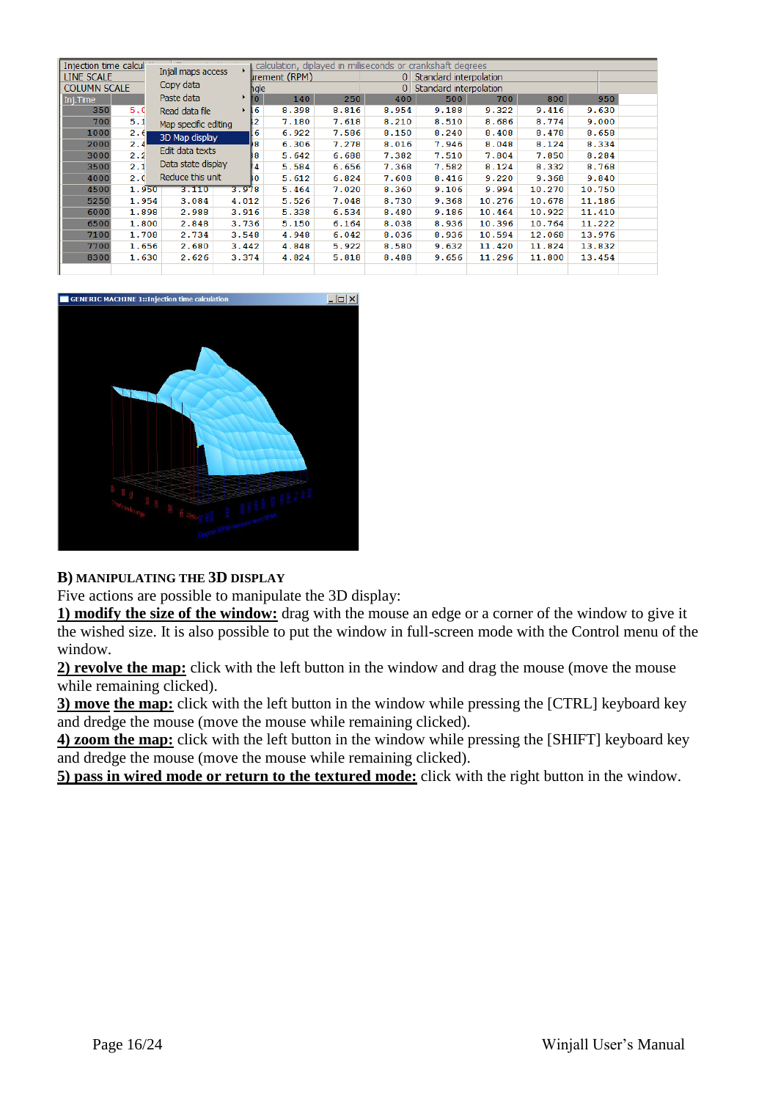| Injection time calcul |       | $\overline{\phantom{a}}$ |                   |                      |       |                | calculation, diplayed in milliseconds or crankshaft degrees |        |        |        |  |
|-----------------------|-------|--------------------------|-------------------|----------------------|-------|----------------|-------------------------------------------------------------|--------|--------|--------|--|
| LINE SCALE            |       | Injall maps access       |                   | <b>Irement (RPM)</b> |       | $\Omega$       | Standard interpolation                                      |        |        |        |  |
| <b>COLUMN SCALE</b>   |       | Copy data                | hgle              |                      |       | 0 <sup>1</sup> | Standard interpolation                                      |        |        |        |  |
| Inj.Time              |       | Paste data               | , ,<br>10.        | 140                  | 250   | 400            | 500                                                         | 700    | 800    | 950    |  |
| 350                   | 5.0   | Read data file           | 6<br>$\mathbf{F}$ | 8.398                | 8.816 | 8.954          | 9.188                                                       | 9.322  | 9.416  | 9.630  |  |
| 700                   | 5.1   | Map specific editing     | 2                 | 7.180                | 7.618 | 8.210          | 8.510                                                       | 8.686  | 8.774  | 9.000  |  |
| 1000                  | 2.61  | 3D Map display           | 6                 | 6.922                | 7.586 | 8.150          | 8.240                                                       | 8.408  | 8.478  | 8.658  |  |
| 2000                  | 2.4   |                          | 8                 | 6.306                | 7.278 | 8.016          | 7.946                                                       | 8.048  | 8.124  | 8.334  |  |
| 3000                  | 2.2   | Edit data texts          | 18                | 5.642                | 6.688 | 7.382          | 7.510                                                       | 7.804  | 7.850  | 8.284  |  |
| 3500                  | 2.1   | Data state display       | 4                 | 5.584                | 6.656 | 7.368          | 7.582                                                       | 8.124  | 8.332  | 8.768  |  |
| 4000                  | 2.0   | Reduce this unit         | BО                | 5.612                | 6.824 | 7.608          | 8.416                                                       | 9.220  | 9.368  | 9.840  |  |
| 4500                  | 1.950 | 3.110                    | 3.978             | 5.464                | 7.020 | 8.360          | 9.106                                                       | 9.994  | 10.270 | 10.750 |  |
| 5250                  | 1.954 | 3.084                    | 4.012             | 5.526                | 7.048 | 8.730          | 9.368                                                       | 10.276 | 10.678 | 11.186 |  |
| 6000                  | 1.898 | 2.988                    | 3.916             | 5.338                | 6.534 | 8.480          | 9.186                                                       | 10.464 | 10.922 | 11.410 |  |
| 6500                  | 1.800 | 2.848                    | 3.736             | 5.150                | 6.164 | 8.038          | 8.936                                                       | 10.396 | 10.764 | 11.222 |  |
| 7100                  | 1.708 | 2.734                    | 3.548             | 4.948                | 6.042 | 8.036          | 8.936                                                       | 10.594 | 12.068 | 13.976 |  |
| 7700                  | 1.656 | 2.680                    | 3.442             | 4.848                | 5.922 | 8.580          | 9.632                                                       | 11.420 | 11.824 | 13.832 |  |
| 8300                  | 1.630 | 2.626                    | 3.374             | 4.824                | 5.818 | 8.488          | 9.656                                                       | 11.296 | 11.800 | 13.454 |  |
|                       |       |                          |                   |                      |       |                |                                                             |        |        |        |  |



#### **B) MANIPULATING THE 3D DISPLAY**

Five actions are possible to manipulate the 3D display:

**1) modify the size of the window:** drag with the mouse an edge or a corner of the window to give it the wished size. It is also possible to put the window in full-screen mode with the Control menu of the window.

**2) revolve the map:** click with the left button in the window and drag the mouse (move the mouse while remaining clicked).

**3) move the map:** click with the left button in the window while pressing the [CTRL] keyboard key and dredge the mouse (move the mouse while remaining clicked).

**4) zoom the map:** click with the left button in the window while pressing the [SHIFT] keyboard key and dredge the mouse (move the mouse while remaining clicked).

**5) pass in wired mode or return to the textured mode:** click with the right button in the window.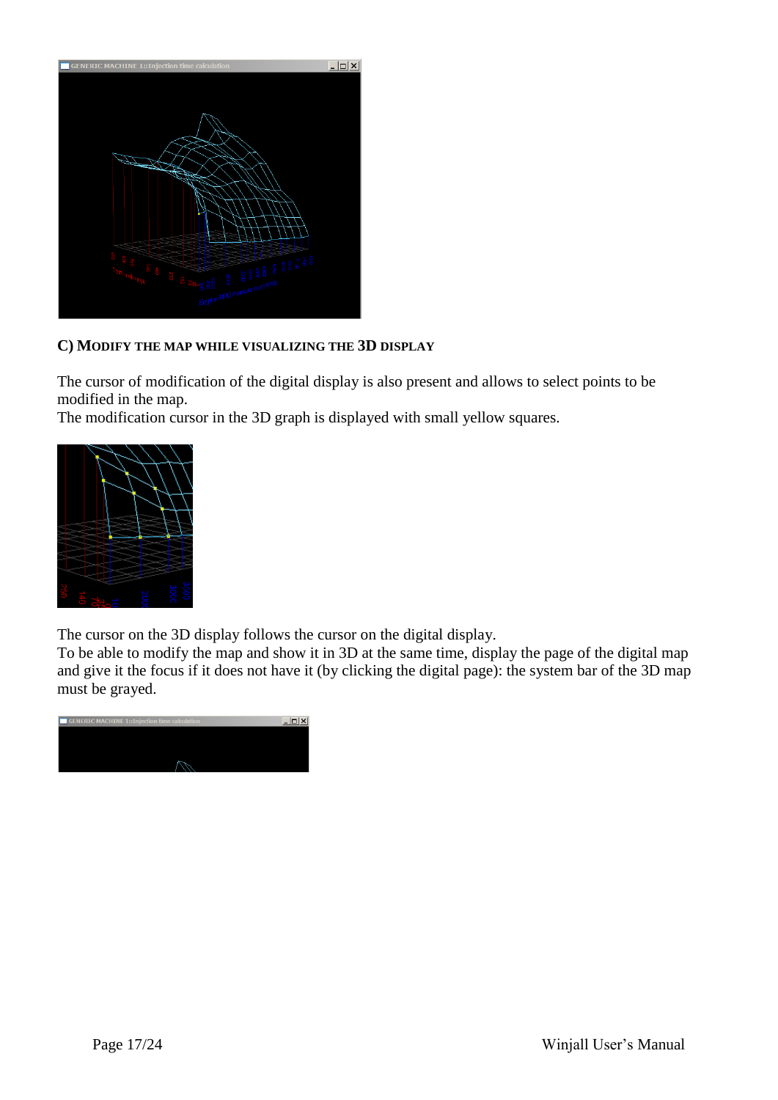

## **C) MODIFY THE MAP WHILE VISUALIZING THE 3D DISPLAY**

The cursor of modification of the digital display is also present and allows to select points to be modified in the map.

The modification cursor in the 3D graph is displayed with small yellow squares.



The cursor on the 3D display follows the cursor on the digital display.

To be able to modify the map and show it in 3D at the same time, display the page of the digital map and give it the focus if it does not have it (by clicking the digital page): the system bar of the 3D map must be grayed.

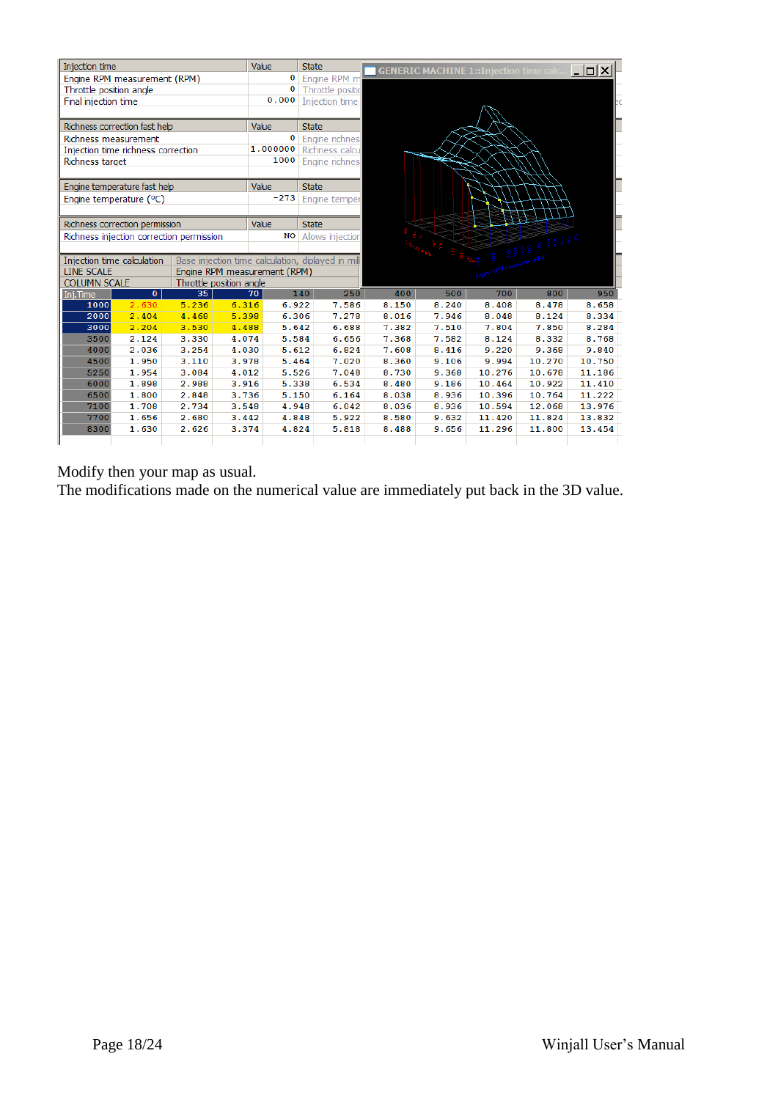

Modify then your map as usual.

The modifications made on the numerical value are immediately put back in the 3D value.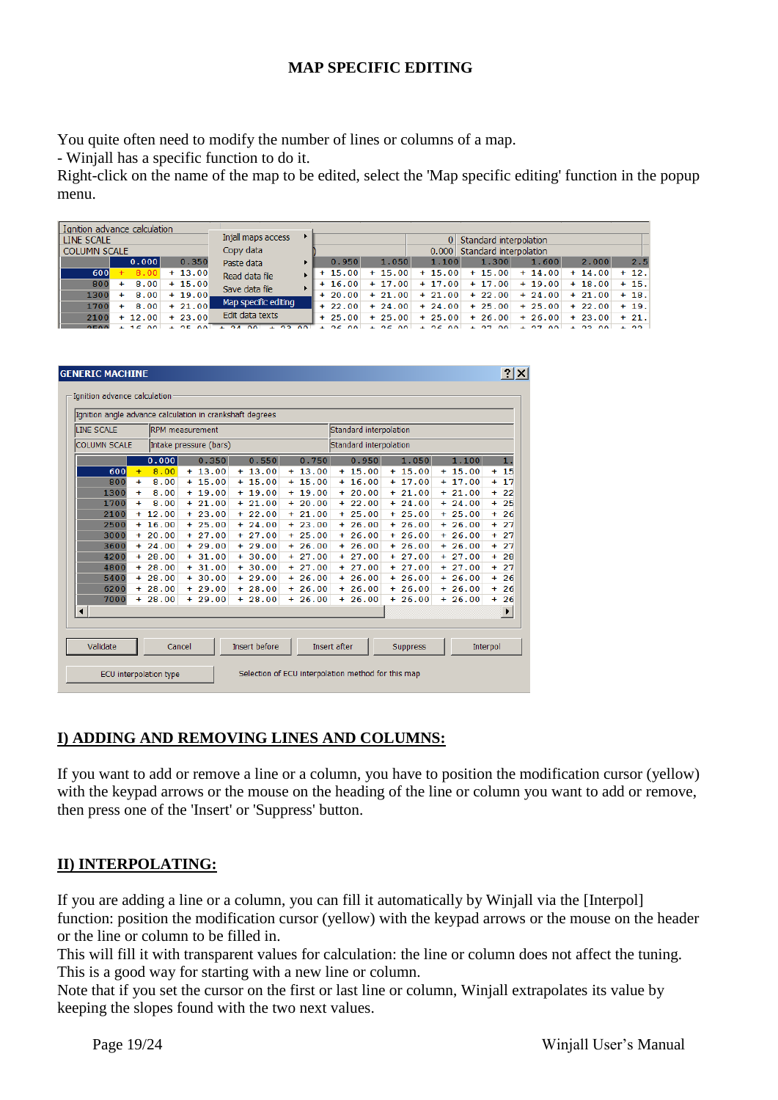## **MAP SPECIFIC EDITING**

You quite often need to modify the number of lines or columns of a map.

- Winjall has a specific function to do it.

Right-click on the name of the map to be edited, select the 'Map specific editing' function in the popup menu.

| Ignition advance calculation |     |                |           |                                              |                        |              |           |                                 |                        |          |          |  |
|------------------------------|-----|----------------|-----------|----------------------------------------------|------------------------|--------------|-----------|---------------------------------|------------------------|----------|----------|--|
| <b>LINE SCALE</b>            |     |                |           | Injall maps access                           |                        |              |           |                                 | Standard interpolation |          |          |  |
| <b>COLUMN SCALE</b>          |     |                |           | Copy data                                    |                        |              |           | Standard interpolation<br>0.000 |                        |          |          |  |
|                              |     | 0.000          | 0.350     | Paste data                                   | 0.950                  | 1.050        | 1.100     | 1.300                           | 1.600                  | 2.000    | 2.5      |  |
| 600                          |     | 8.00           | $+13.00$  | Read data file                               | $+15.00$               | 15.00<br>$+$ | $+15.00$  | $+15.00$                        | $+14.00$               | $+14.00$ | $+12.$   |  |
| 800                          | $+$ | 8.00           | $+15.00$  | Save data file                               | $+16.00$               | $+17.00$     | $+17.00$  | $+17.00$                        | $+19.00$               | $+18.00$ | $+15.$   |  |
| 1300                         |     | 8.00           | $+19.00.$ |                                              | $+20.00$               | $+21.00$     | $+21.00$  | $+22.00$                        | $+24.00$               | $+21.00$ | $+18.$   |  |
| 1700                         |     | 8.00           | $+21.00$  | Map specific editing                         | $+22.00$               | $+24.00$     | $+24.00$  | $+25.00$                        | $+25.00$               | $+22.00$ | $+19.$   |  |
| 2100                         |     | $+12.00$       | $+23.00$  | Edit data texts                              | $+25.00$               | $+25.00$     | $+25.00$  | $+26.00$                        | $+26.00$               | $+23.00$ | $+21.$   |  |
| 0.500                        |     | 16<br>$\Omega$ | $DE$ 00   | $\sqrt{2}$<br>$\sim$<br>$\sim$<br>$\sqrt{2}$ | O C<br>$\Omega$<br>. . | 25.00        | $+ 25.00$ | 27<br>$\Omega$<br>. .           | 27<br>$\Omega$         | $+22.00$ | $\pm$ 00 |  |

| Ignition angle advance calculation in crankshaft degrees<br><b>LINE SCALE</b><br><b>RPM</b> measurement<br>Standard interpolation |           |          |  |                        |  |          |                                                                                           |          |  |                        |  |          |     |          |           |    |
|-----------------------------------------------------------------------------------------------------------------------------------|-----------|----------|--|------------------------|--|----------|-------------------------------------------------------------------------------------------|----------|--|------------------------|--|----------|-----|----------|-----------|----|
|                                                                                                                                   |           |          |  |                        |  |          |                                                                                           |          |  |                        |  |          |     |          |           |    |
| <b>COLUMN SCALE</b>                                                                                                               |           |          |  | Intake pressure (bars) |  |          |                                                                                           |          |  | Standard interpolation |  |          |     |          |           |    |
|                                                                                                                                   |           | 0.000    |  | 0.350                  |  | 0.550    |                                                                                           | 0.750    |  | 0.950                  |  | 1.050    |     | 1.100    |           | 1. |
| 600                                                                                                                               | $+$       | 8.00     |  | $+13.00$               |  | $+13.00$ |                                                                                           | $+13.00$ |  | $+15.00$               |  | $+15.00$ |     | $+15.00$ | $+$       | 15 |
| 800                                                                                                                               | $\ddot{}$ | 8.00     |  | $+15.00$               |  | $+15.00$ |                                                                                           | $+15.00$ |  | $+16.00$               |  | $+17.00$ |     | $+17.00$ | $\ddot{}$ | 17 |
| 1300                                                                                                                              | $\ddot{}$ | 8.00     |  | $+19.00$               |  | $+19.00$ |                                                                                           | $+19.00$ |  | $+20.00$               |  | $+21.00$ |     | $+21.00$ | ÷.        | 22 |
| 1700                                                                                                                              | $\ddot{}$ | 8.00     |  | $+21.00$               |  | $+21.00$ |                                                                                           | $+20.00$ |  | $+22.00$               |  | $+24.00$ | $+$ | 24.00    | ÷         | 25 |
| 2100                                                                                                                              |           | $+12.00$ |  | $+23.00$               |  | $+22.00$ |                                                                                           | $+21.00$ |  | $+25.00$               |  | $+25.00$ |     | $+25.00$ | ÷         | 26 |
| 2500                                                                                                                              |           | $+16.00$ |  | $+25.00$               |  | $+24.00$ |                                                                                           | $+23.00$ |  | $+26.00$               |  | $+26.00$ | $+$ | 26.00    | $\ddot{}$ | 27 |
| 3000                                                                                                                              |           | $+20.00$ |  | $+27.00$               |  | $+27.00$ |                                                                                           | $+25.00$ |  | $+26.00$               |  | $+26.00$ |     | $+26.00$ | $\ddot{}$ | 27 |
| 3600                                                                                                                              |           | $+24.00$ |  | $+29.00$               |  | $+29.00$ |                                                                                           | $+26.00$ |  | $+26.00$               |  | $+26.00$ |     | $+26.00$ | ÷         | 27 |
| 4200                                                                                                                              |           | $+28.00$ |  | $+31.00$               |  | $+30.00$ |                                                                                           | $+27.00$ |  | $+27.00$               |  | $+27.00$ | $+$ | 27.00    | ÷         | 28 |
| 4800                                                                                                                              |           | $+28.00$ |  | $+31.00$               |  | $+30.00$ |                                                                                           | $+27.00$ |  | $+27.00$               |  | $+27.00$ |     | $+27.00$ | ÷.        | 27 |
| 5400                                                                                                                              |           | $+28.00$ |  | $+30.00$               |  | $+29.00$ |                                                                                           | $+26.00$ |  | $+26.00$               |  | $+26.00$ | $+$ | 26.00    | $\ddot{}$ | 26 |
| 6200                                                                                                                              |           | $+28.00$ |  | $+29.00$               |  | $+28.00$ |                                                                                           | $+26.00$ |  | $+26.00$               |  | $+26.00$ |     | $+26.00$ | $\ddot{}$ | 26 |
| 7000                                                                                                                              |           | $+28.00$ |  | $+29.00$               |  | $+28.00$ |                                                                                           | $+26.00$ |  | $+26.00$               |  | $+26.00$ | $+$ | 26.00    | ÷         | 26 |
| ◂∣                                                                                                                                |           |          |  |                        |  |          |                                                                                           |          |  |                        |  |          |     |          |           | ▶  |
|                                                                                                                                   |           |          |  |                        |  |          |                                                                                           |          |  |                        |  |          |     |          |           |    |
|                                                                                                                                   |           |          |  |                        |  |          |                                                                                           |          |  |                        |  |          |     |          |           |    |
|                                                                                                                                   |           |          |  |                        |  |          | Validate<br><b>Insert before</b><br><b>Insert after</b><br>Cancel<br>Interpol<br>Suppress |          |  |                        |  |          |     |          |           |    |

## **I) ADDING AND REMOVING LINES AND COLUMNS:**

If you want to add or remove a line or a column, you have to position the modification cursor (yellow) with the keypad arrows or the mouse on the heading of the line or column you want to add or remove, then press one of the 'Insert' or 'Suppress' button.

#### **II) INTERPOLATING:**

If you are adding a line or a column, you can fill it automatically by Winjall via the [Interpol] function: position the modification cursor (yellow) with the keypad arrows or the mouse on the header or the line or column to be filled in.

This will fill it with transparent values for calculation: the line or column does not affect the tuning. This is a good way for starting with a new line or column.

Note that if you set the cursor on the first or last line or column, Winjall extrapolates its value by keeping the slopes found with the two next values.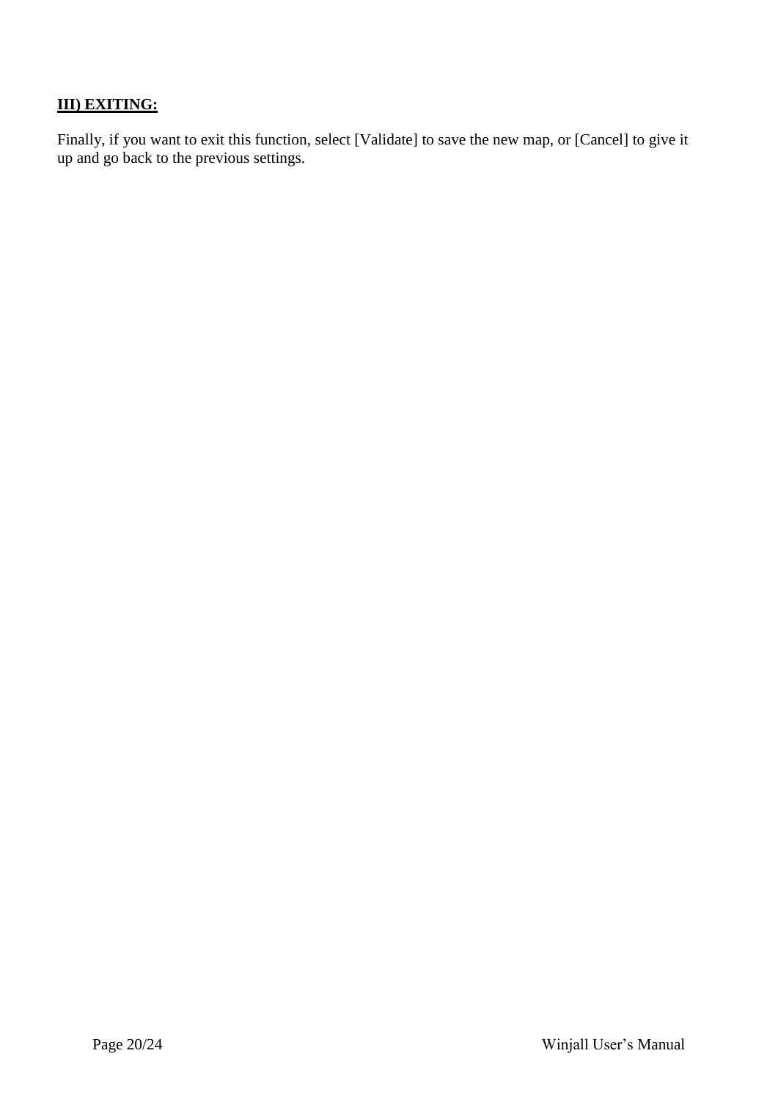# **III) EXITING:**

Finally, if you want to exit this function, select [Validate] to save the new map, or [Cancel] to give it up and go back to the previous settings.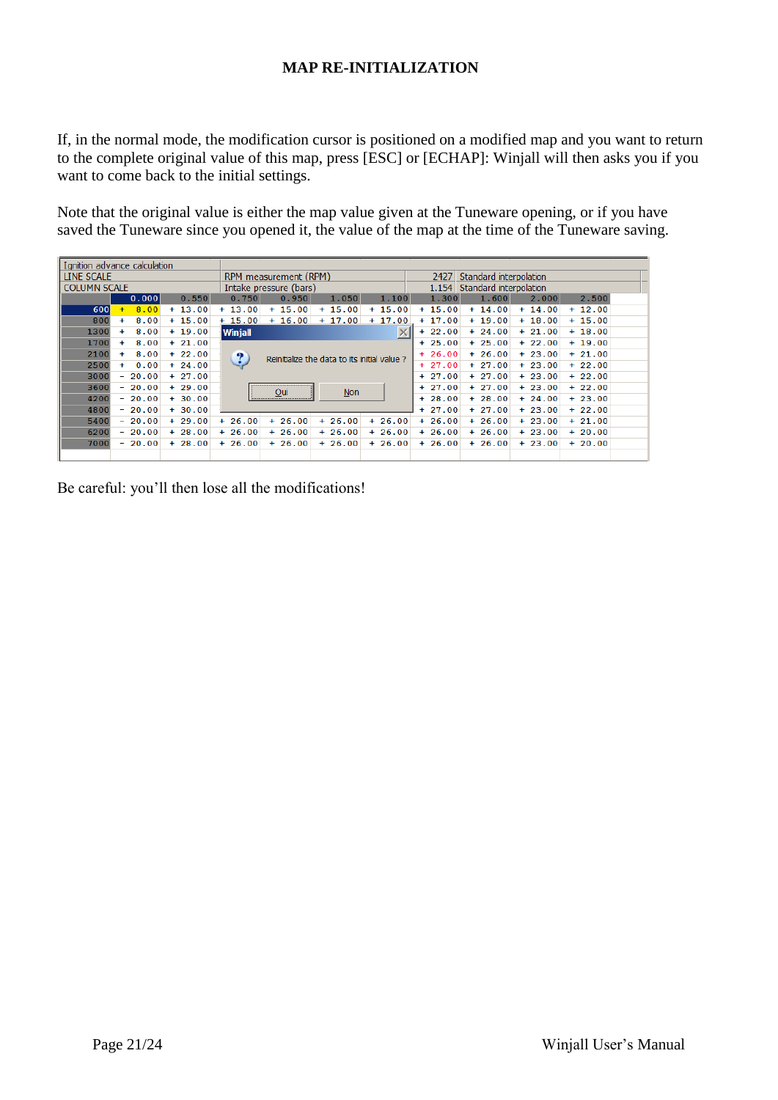## **MAP RE-INITIALIZATION**

If, in the normal mode, the modification cursor is positioned on a modified map and you want to return to the complete original value of this map, press [ESC] or [ECHAP]: Winjall will then asks you if you want to come back to the initial settings.

Note that the original value is either the map value given at the Tuneware opening, or if you have saved the Tuneware since you opened it, the value of the map at the time of the Tuneware saving.

|                     | Ignition advance calculation |          |          |                        |                                             |          |          |                        |          |          |  |
|---------------------|------------------------------|----------|----------|------------------------|---------------------------------------------|----------|----------|------------------------|----------|----------|--|
| LINE SCALE          |                              |          |          | RPM measurement (RPM)  |                                             |          | 2427     | Standard interpolation |          |          |  |
| <b>COLUMN SCALE</b> |                              |          |          | Intake pressure (bars) |                                             |          | 1.154    | Standard interpolation |          |          |  |
|                     | 0.000                        | 0.550    | 0.750    | 0.950                  | 1.050                                       | 1.100    | 1.300    | 1.600                  | 2.000    | 2.500    |  |
| 600                 | 8.00<br>$+$                  | $+13.00$ | $+13.00$ | $+15.00$               | $+15.00$                                    | $+15.00$ | $+15.00$ | $+14.00$               | $+14.00$ | $+12.00$ |  |
| 800                 | 8.00<br>$\ddot{}$            | $+15.00$ | $+15.00$ | $+16.00$               | $+17.00$                                    | $+17.00$ | $+17.00$ | $+19.00$               | $+18.00$ | $+15.00$ |  |
| 1300                | 8.00<br>$+$                  | $+19.00$ | Winjall  |                        |                                             | $\times$ | $+22.00$ | $+24.00$               | $+21.00$ | $+18.00$ |  |
| 1700                | 8.00<br>$+$                  | $+21.00$ |          |                        |                                             |          | $+25.00$ | $+25.00$               | $+22.00$ | $+19.00$ |  |
| 2100                | 8.00<br>$+$                  | $+22.00$ | ?        |                        | Reinitialize the data to its initial value? |          | $+26.00$ | $+26.00$               | $+23.00$ | $+21.00$ |  |
| 2500                | 0.00<br>$+$                  | $+24.00$ |          |                        |                                             |          | $+27.00$ | $+27.00$               | $+23.00$ | $+22.00$ |  |
| 3000                | $-20.00$                     | $+27.00$ |          |                        |                                             |          | $+27.00$ | $+27.00$               | $+23.00$ | $+22.00$ |  |
| 3600                | $-20.00$                     | $+29.00$ |          | Oui                    | $Non$                                       |          | $+27.00$ | $+27.00$               | $+23.00$ | $+22.00$ |  |
| 4200                | $-20.00$                     | $+30.00$ |          |                        |                                             |          | $+28.00$ | $+28.00$               | $+24.00$ | $+23.00$ |  |
| 4800                | $-20.00$                     | $+30.00$ |          |                        |                                             |          | $+27.00$ | $+27.00$               | $+23.00$ | $+22.00$ |  |
| 5400                | $-20.00$                     | $+29.00$ | $+26.00$ | $+26.00$               | $+26.00$                                    | $+26.00$ | $+26.00$ | $+26.00$               | $+23.00$ | $+21.00$ |  |
| 6200                | $-20.00$                     | $+28.00$ | $+26.00$ | $+26.00$               | $+26.00$                                    | $+26.00$ | $+26.00$ | $+26.00$               | $+23.00$ | $+20.00$ |  |
| 7000                | $-20.00$                     | $+28.00$ | $+26.00$ | $+26.00$               | $+26.00$                                    | $+26.00$ | $+26.00$ | $+26.00$               | $+23.00$ | $+20.00$ |  |
|                     |                              |          |          |                        |                                             |          |          |                        |          |          |  |

Be careful: you'll then lose all the modifications!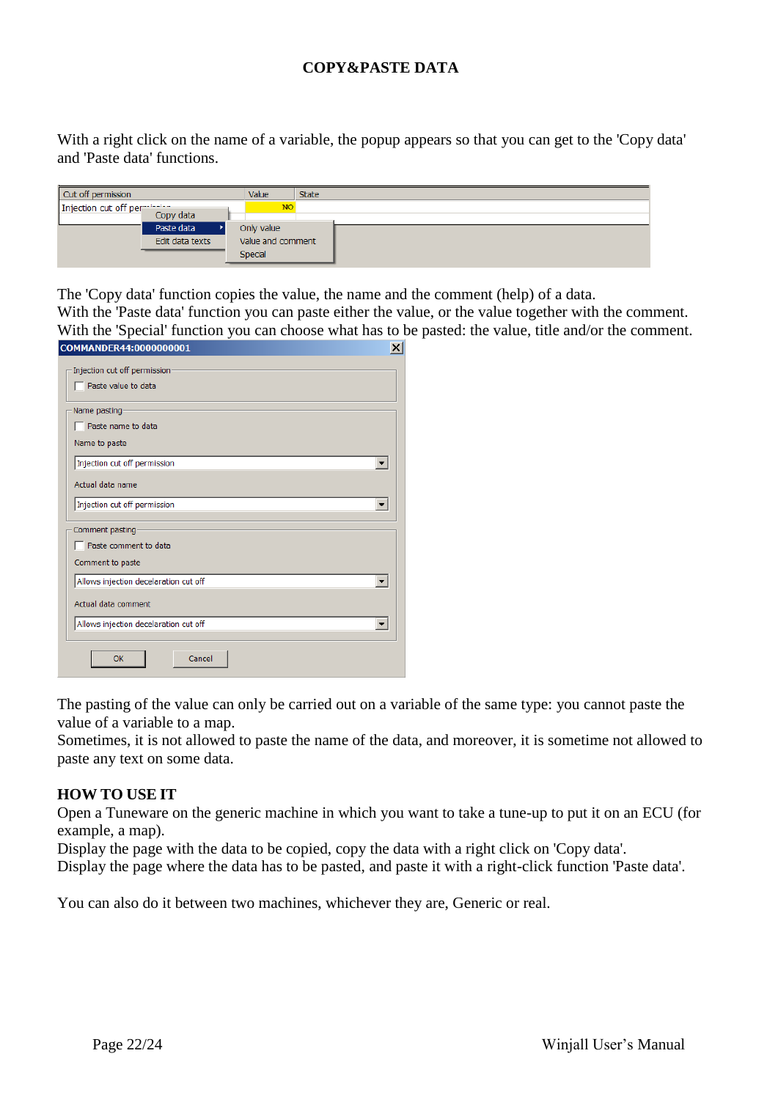## **COPY&PASTE DATA**

With a right click on the name of a variable, the popup appears so that you can get to the 'Copy data' and 'Paste data' functions.

| Cut off permission           |                 | Value          | <b>State</b>      |
|------------------------------|-----------------|----------------|-------------------|
| Injection cut off permission |                 | <b>NO</b>      |                   |
|                              |                 |                |                   |
|                              | Paste data      | Only value     |                   |
|                              | Edit data texts |                | Value and comment |
|                              |                 | <b>Special</b> |                   |

The 'Copy data' function copies the value, the name and the comment (help) of a data.

With the 'Paste data' function you can paste either the value, or the value together with the comment. With the 'Special' function you can choose what has to be pasted: the value, title and/or the comment.

| COMMANDER44:0000000001<br>×           |
|---------------------------------------|
| Injection cut off permission          |
| Paste value to data                   |
| Name pasting                          |
| $\Box$ Paste name to data             |
| Name to paste                         |
| Injection cut off permission          |
| Actual data name                      |
| Injection cut off permission          |
| Comment pasting                       |
| $\Box$ Paste comment to data          |
| Comment to paste                      |
| Allows injection decelaration cut off |
| Actual data comment                   |
| Allows injection decelaration cut off |
| Cancel<br>OK                          |

The pasting of the value can only be carried out on a variable of the same type: you cannot paste the value of a variable to a map.

Sometimes, it is not allowed to paste the name of the data, and moreover, it is sometime not allowed to paste any text on some data.

## **HOW TO USE IT**

Open a Tuneware on the generic machine in which you want to take a tune-up to put it on an ECU (for example, a map).

Display the page with the data to be copied, copy the data with a right click on 'Copy data'.

Display the page where the data has to be pasted, and paste it with a right-click function 'Paste data'.

You can also do it between two machines, whichever they are, Generic or real.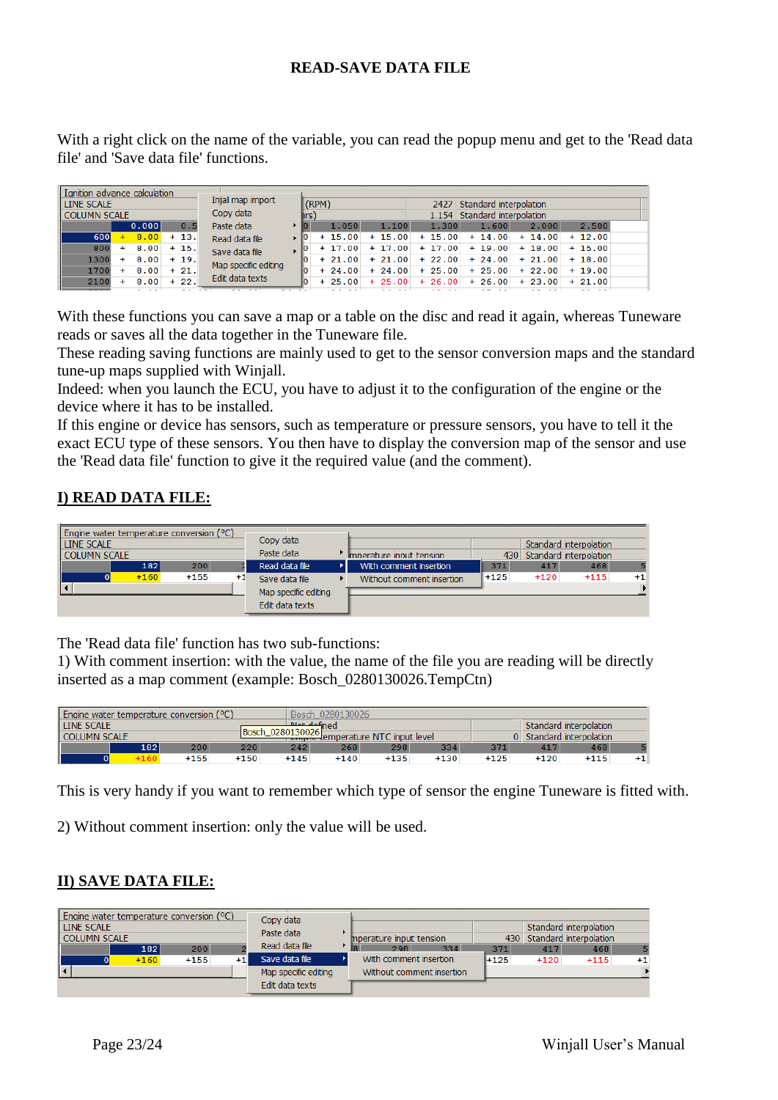## **READ-SAVE DATA FILE**

With a right click on the name of the variable, you can read the popup menu and get to the 'Read data file' and 'Save data file' functions.

| Ignition advance calculation  |                                                           |          |          |          |                              |          |                  |  |
|-------------------------------|-----------------------------------------------------------|----------|----------|----------|------------------------------|----------|------------------|--|
| LINE SCALE                    | Injall map import                                         | (RPM)    |          |          | 2427 Standard interpolation  |          |                  |  |
| <b>COLUMN SCALE</b>           | Copy data                                                 | hrs)     |          |          | 1.154 Standard interpolation |          |                  |  |
| 0.000<br>0.5                  | Paste data                                                | 1.050    | 1.100    | 1.300    | 1.600                        | 2.000    | 2.500            |  |
| 600<br>8.00<br>$+13.$<br>$+$  | Read data file                                            | $+15.00$ | $+15.00$ | $+15.00$ | $+14.00$                     | $+14.00$ | $+12.00$         |  |
| 800<br>8.00<br>$+15.$<br>$+$  |                                                           | $+17.00$ | $+17.00$ | $+17.00$ | $+19.00$                     |          | $+18.00 + 15.00$ |  |
| 1300<br>8.00<br>$+19.$<br>$+$ |                                                           | $+21.00$ | $+21.00$ | $+22.00$ | $+24.00$                     |          | $+21.00 + 18.00$ |  |
| 1700<br>8.00<br>$+21.$<br>÷.  |                                                           | $+24.00$ | $+24.00$ | $+25.00$ | $+25.00$                     | $+22.00$ | $+19.00$         |  |
| $+22.$<br>8.00<br>2100        |                                                           | $+25.00$ | $+25.00$ | $+26.00$ | $+26.00$                     | $+23.00$ | $+21.00$         |  |
|                               | Save data file<br>Map specific editing<br>Edit data texts |          |          |          |                              |          |                  |  |

With these functions you can save a map or a table on the disc and read it again, whereas Tuneware reads or saves all the data together in the Tuneware file.

These reading saving functions are mainly used to get to the sensor conversion maps and the standard tune-up maps supplied with Winjall.

Indeed: when you launch the ECU, you have to adjust it to the configuration of the engine or the device where it has to be installed.

If this engine or device has sensors, such as temperature or pressure sensors, you have to tell it the exact ECU type of these sensors. You then have to display the conversion map of the sensor and use the 'Read data file' function to give it the required value (and the comment).

## **I) READ DATA FILE:**

| Engine water temperature conversion (°C) |                      |                           |        |                            |                        |      |
|------------------------------------------|----------------------|---------------------------|--------|----------------------------|------------------------|------|
| LINE SCALE                               | Copy data            |                           |        |                            | Standard interpolation |      |
| <b>COLUMN SCALE</b>                      | Paste data           | Imperature input tension  |        | 430 Standard interpolation |                        |      |
| 200<br>182                               | Read data file       | With comment insertion    | 371    | 417                        | 468                    |      |
| $+160$<br>$+155$<br>$^{+1}$              | Save data file       | Without comment insertion | $+125$ | $+120$                     | $+115$                 | $+1$ |
|                                          | Map specific editing |                           |        |                            |                        |      |
|                                          | Edit data texts      |                           |        |                            |                        |      |

The 'Read data file' function has two sub-functions:

1) With comment insertion: with the value, the name of the file you are reading will be directly inserted as a map comment (example: Bosch\_0280130026.TempCtn)

| Engine water temperature conversion (°C) |     |        |        |        | Bosch 0280130026                          |        |        |        |        |                          |    |  |
|------------------------------------------|-----|--------|--------|--------|-------------------------------------------|--------|--------|--------|--------|--------------------------|----|--|
| <b>LINE SCALE</b>                        |     |        |        |        | Alet defined                              |        |        |        |        | Standard interpolation   |    |  |
| Bosch 0280130026<br><b>COLUMN SCALE</b>  |     |        |        |        | <b>Engine temperature NTC input level</b> |        |        |        |        | 0 Standard interpolation |    |  |
|                                          | 182 | 200    | 220    | 242    | 268                                       | 298    | 334    | 371    | 417    | 468                      |    |  |
|                                          |     | $+155$ | $+150$ | $+145$ | $+140$                                    | $+135$ | $+130$ | $+125$ | $+120$ | $+115$                   | +1 |  |

This is very handy if you want to remember which type of sensor the engine Tuneware is fitted with.

2) Without comment insertion: only the value will be used.

## **II) SAVE DATA FILE:**

| Engine water temperature conversion (°C)<br>Copy data<br><b>LINE SCALE</b><br>Paste data<br><b>COLUMN SCALE</b> |            |              |  |                      |  |                                       |        |                                   | Standard interpolation |             |
|-----------------------------------------------------------------------------------------------------------------|------------|--------------|--|----------------------|--|---------------------------------------|--------|-----------------------------------|------------------------|-------------|
|                                                                                                                 | 200<br>182 |              |  | Read data file       |  | mperature input tension<br>334<br>298 | 371    | 430 Standard interpolation<br>417 | 468                    |             |
|                                                                                                                 | $+160$     | $+155$<br>+1 |  | Save data file       |  | With comment insertion                | $+125$ | $+120$                            | $+115$                 | $^{\bf +1}$ |
|                                                                                                                 |            |              |  | Map specific editing |  | Without comment insertion             |        |                                   |                        |             |
|                                                                                                                 |            |              |  | Edit data texts      |  |                                       |        |                                   |                        |             |